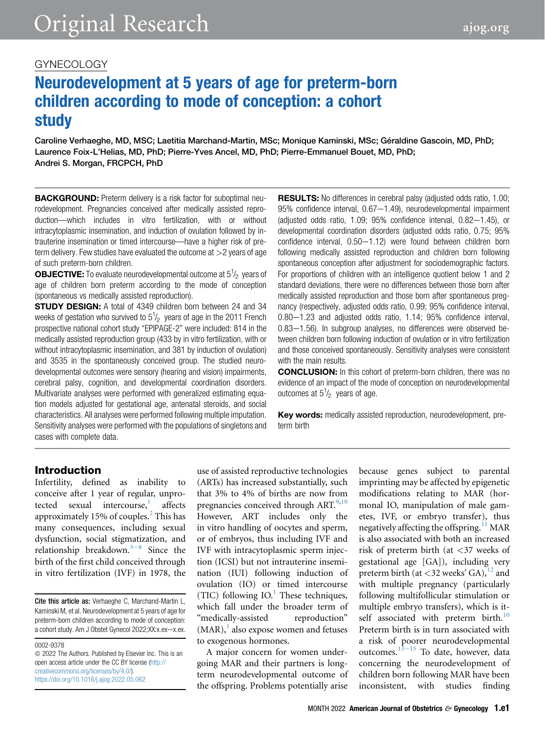# Neurodevelopment at 5 years of age for preterm-born children according to mode of conception: a cohort study

Caroline Verhaeghe, MD, MSC; Laetitia Marchand-Martin, MSc; Monique Kaminski, MSc; Géraldine Gascoin, MD, PhD; Laurence Foix-L'Helias, MD, PhD; Pierre-Yves Ancel, MD, PhD; Pierre-Emmanuel Bouet, MD, PhD; Andrei S. Morgan, FRCPCH, PhD

BACKGROUND: Preterm delivery is a risk factor for suboptimal neurodevelopment. Pregnancies conceived after medically assisted reproduction—which includes in vitro fertilization, with or without intracytoplasmic insemination, and induction of ovulation followed by intrauterine insemination or timed intercourse—have a higher risk of preterm delivery. Few studies have evaluated the outcome at  $>$ 2 years of age of such preterm-born children.

**OBJECTIVE:** To evaluate neurodevelopmental outcome at  $5^{1}/_2$  years of age of children born preterm according to the mode of conception (spontaneous vs medically assisted reproduction).

**STUDY DESIGN:** A total of 4349 children born between 24 and 34 weeks of gestation who survived to  $5\frac{1}{2}$  years of age in the 2011 French prospective national cohort study "EPIPAGE-2" were included: 814 in the medically assisted reproduction group (433 by in vitro fertilization, with or without intracytoplasmic insemination, and 381 by induction of ovulation) and 3535 in the spontaneously conceived group. The studied neurodevelopmental outcomes were sensory (hearing and vision) impairments, cerebral palsy, cognition, and developmental coordination disorders. Multivariate analyses were performed with generalized estimating equation models adjusted for gestational age, antenatal steroids, and social characteristics. All analyses were performed following multiple imputation. Sensitivity analyses were performed with the populations of singletons and cases with complete data.

**RESULTS:** No differences in cerebral palsy (adjusted odds ratio, 1.00; 95% confidence interval, 0.67-1.49), neurodevelopmental impairment (adjusted odds ratio,  $1.09$ ;  $95\%$  confidence interval,  $0.82-1.45$ ), or developmental coordination disorders (adjusted odds ratio, 0.75; 95%  $confidence$  interval,  $0.50-1.12$ ) were found between children born following medically assisted reproduction and children born following spontaneous conception after adjustment for sociodemographic factors. For proportions of children with an intelligence quotient below 1 and 2 standard deviations, there were no differences between those born after medically assisted reproduction and those born after spontaneous pregnancy (respectively, adjusted odds ratio, 0.99; 95% confidence interval,  $0.80-1.23$  and adjusted odds ratio,  $1.14$ ;  $95%$  confidence interval,  $0.83-1.56$ ). In subgroup analyses, no differences were observed between children born following induction of ovulation or in vitro fertilization and those conceived spontaneously. Sensitivity analyses were consistent with the main results.

CONCLUSION: In this cohort of preterm-born children, there was no evidence of an impact of the mode of conception on neurodevelopmental outcomes at  $5^{1}/_{2}$  years of age.

Key words: medically assisted reproduction, neurodevelopment, preterm birth

# Introduction

Infertility, defined as inability to conceive after 1 year of regular, unprotected sexual intercourse, affects approximately 15% of couples.<sup>[2](#page-9-1)</sup> This has many consequences, including sexual dysfunction, social stigmatization, and r[e](#page-9-2)lationship breakdown. $3-8$  Since the birth of the first child conceived through in vitro fertilization (IVF) in 1978, the

0002-9378

 $\odot$  2022 The Authors. Published by Elsevier Inc. This is an open access article under the CC BY license [\(http://](http://creativecommons.org/licenses/by/4.0/) [creativecommons.org/licenses/by/4.0/\)](http://creativecommons.org/licenses/by/4.0/). <https://doi.org/10.1016/j.ajog.2022.05.062>

use of assisted reproductive technologies (ARTs) has increased substantially, such that 3% to 4% of births are now from pregnancies conceived through ART.<sup>[9](#page-10-0)[,10](#page-10-1)</sup> However, ART includes only the in vitro handling of oocytes and sperm, or of embryos, thus including IVF and IVF with intracytoplasmic sperm injection (ICSI) but not intrauterine insemination (IUI) following induction of ovulation (IO) or timed intercourse (TIC) following  $IO.1$  $IO.1$ <sup>1</sup> These techniques, which fall under the broader term of "medically-assisted reproduction"  $(MAR)$ , also expose women and fetuses to exogenous hormones.

A major concern for women undergoing MAR and their partners is longterm neurodevelopmental outcome of the offspring. Problems potentially arise

because genes subject to parental imprinting may be affected by epigenetic modifications relating to MAR (hormonal IO, manipulation of male gametes, IVF, or embryo transfer), thus negatively affecting the offspring.<sup>[11](#page-10-2)</sup> MAR is also associated with both an increased risk of preterm birth (at <37 weeks of gestational age [GA]), including very preterm birth (at <32 weeks' GA), $^{12}$  $^{12}$  $^{12}$  and with multiple pregnancy (particularly following multifollicular stimulation or multiple embryo transfers), which is it-self associated with preterm birth.<sup>[10](#page-10-1)</sup> Preterm birth is in turn associated with a risk of poorer neurodevelopmental outcomes. $13-15$  $13-15$  To date, however, data concerning the neurodevelopment of children born following MAR have been inconsistent, with studies finding

Cite this article as: Verhaeghe C, Marchand-Martin L, Kaminski M, et al. Neurodevelopment at 5 years of age for preterm-born children according to mode of conception: a cohort study. Am J Obstet Gynecol 2022;XX:x.ex-x.ex.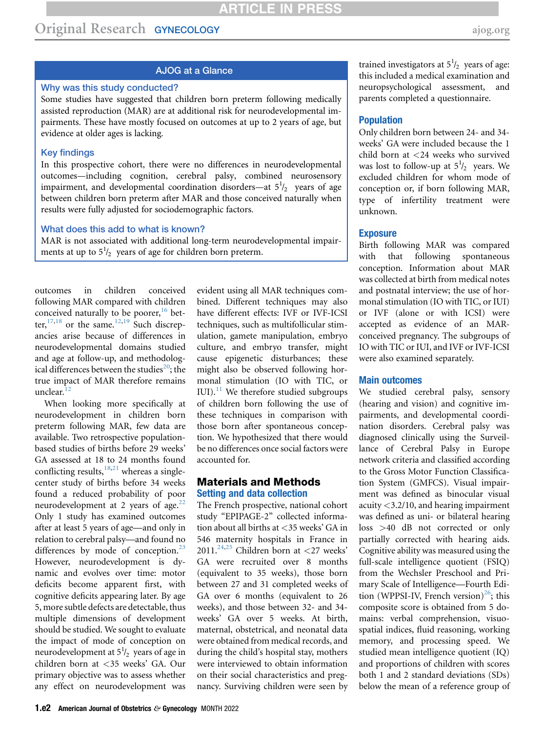# Original Research GYNECOLOGY [ajog.org](http://www.AJOG.org)

# AJOG at a Glance

## Why was this study conducted?

Some studies have suggested that children born preterm following medically assisted reproduction (MAR) are at additional risk for neurodevelopmental impairments. These have mostly focused on outcomes at up to 2 years of age, but evidence at older ages is lacking.

#### Key findings

In this prospective cohort, there were no differences in neurodevelopmental outcomes—including cognition, cerebral palsy, combined neurosensory impairment, and developmental coordination disorders—at  $5\frac{1}{2}$  years of age between children born preterm after MAR and those conceived naturally when results were fully adjusted for sociodemographic factors.

## What does this add to what is known?

MAR is not associated with additional long-term neurodevelopmental impairments at up to  $5^{1/2}$  years of age for children born preterm.

outcomes in children conceived following MAR compared with children conceived naturally to be poorer,<sup>[16](#page-10-5)</sup> better,  $17,18$  $17,18$  or the same.  $12,19$  $12,19$  Such discrepancies arise because of differences in neurodevelopmental domains studied and age at follow-up, and methodological differences between the studies<sup>20</sup>; the true impact of MAR therefore remains unclear. $1$ 

When looking more specifically at neurodevelopment in children born preterm following MAR, few data are available. Two retrospective populationbased studies of births before 29 weeks' GA assessed at 18 to 24 months found conflicting results,  $18,21$  $18,21$  whereas a singlecenter study of births before 34 weeks found a reduced probability of poor neurodevelopment at 2 years of age. $22$ Only 1 study has examined outcomes after at least 5 years of age—and only in relation to cerebral palsy—and found no differences by mode of conception. $^{23}$  $^{23}$  $^{23}$ However, neurodevelopment is dynamic and evolves over time: motor deficits become apparent first, with cognitive deficits appearing later. By age 5, more subtle defects are detectable, thus multiple dimensions of development should be studied. We sought to evaluate the impact of mode of conception on neurodevelopment at  $5^{1}/_{2}$  years of age in children born at <35 weeks' GA. Our primary objective was to assess whether any effect on neurodevelopment was

evident using all MAR techniques combined. Different techniques may also have different effects: IVF or IVF-ICSI techniques, such as multifollicular stimulation, gamete manipulation, embryo culture, and embryo transfer, might cause epigenetic disturbances; these might also be observed following hormonal stimulation (IO with TIC, or IUI). $^{11}$  $^{11}$  $^{11}$  We therefore studied subgroups of children born following the use of these techniques in comparison with those born after spontaneous conception. We hypothesized that there would be no differences once social factors were accounted for.

## Materials and Methods Setting and data collection

The French prospective, national cohort study "EPIPAGE-2" collected information about all births at <35 weeks' GA in 546 maternity hospitals in France in 2011.<sup>[24,](#page-10-13)[25](#page-10-14)</sup> Children born at <27 weeks' GA were recruited over 8 months (equivalent to 35 weeks), those born between 27 and 31 completed weeks of GA over 6 months (equivalent to 26 weeks), and those between 32- and 34 weeks' GA over 5 weeks. At birth, maternal, obstetrical, and neonatal data were obtained from medical records, and during the child's hospital stay, mothers were interviewed to obtain information on their social characteristics and pregnancy. Surviving children were seen by

trained investigators at  $5^{1}/_{2}$  years of age: this included a medical examination and neuropsychological assessment, and parents completed a questionnaire.

#### Population

Only children born between 24- and 34 weeks' GA were included because the 1 child born at <24 weeks who survived was lost to follow-up at  $5^{1}/_{2}$  years. We excluded children for whom mode of conception or, if born following MAR, type of infertility treatment were unknown.

#### **Exposure**

Birth following MAR was compared with that following spontaneous conception. Information about MAR was collected at birth from medical notes and postnatal interview; the use of hormonal stimulation (IO with TIC, or IUI) or IVF (alone or with ICSI) were accepted as evidence of an MARconceived pregnancy. The subgroups of IO with TIC or IUI, and IVF or IVF-ICSI were also examined separately.

#### Main outcomes

We studied cerebral palsy, sensory (hearing and vision) and cognitive impairments, and developmental coordination disorders. Cerebral palsy was diagnosed clinically using the Surveillance of Cerebral Palsy in Europe network criteria and classified according to the Gross Motor Function Classification System (GMFCS). Visual impairment was defined as binocular visual acuity <3.2/10, and hearing impairment was defined as uni- or bilateral hearing loss >40 dB not corrected or only partially corrected with hearing aids. Cognitive ability was measured using the full-scale intelligence quotient (FSIQ) from the Wechsler Preschool and Primary Scale of Intelligence—Fourth Edition (WPPSI-IV, French version) $^{26}$  $^{26}$  $^{26}$ ; this composite score is obtained from 5 domains: verbal comprehension, visuospatial indices, fluid reasoning, working memory, and processing speed. We studied mean intelligence quotient (IQ) and proportions of children with scores both 1 and 2 standard deviations (SDs) below the mean of a reference group of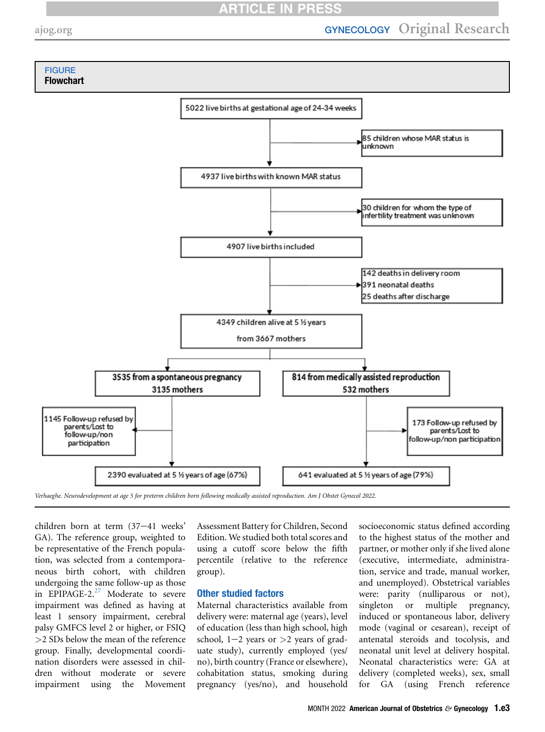# **RTICLE IN PRES**

<span id="page-2-0"></span>

Verhaeghe. Neurodevelopment at age 5 for preterm children born following medically assisted reproduction. Am J Obstet Gynecol 2022.

children born at term  $(37-41$  weeks' GA). The reference group, weighted to be representative of the French population, was selected from a contemporaneous birth cohort, with children undergoing the same follow-up as those in EPIPAGE-2.<sup>[27](#page-10-16)</sup> Moderate to severe impairment was defined as having at least 1 sensory impairment, cerebral palsy GMFCS level 2 or higher, or FSIQ >2 SDs below the mean of the reference group. Finally, developmental coordination disorders were assessed in children without moderate or severe impairment using the Movement

Assessment Battery for Children, Second Edition. We studied both total scores and using a cutoff score below the fifth percentile (relative to the reference group).

## Other studied factors

Maternal characteristics available from delivery were: maternal age (years), level of education (less than high school, high school,  $1-2$  years or  $>2$  years of graduate study), currently employed (yes/ no), birth country (France or elsewhere), cohabitation status, smoking during pregnancy (yes/no), and household

socioeconomic status defined according to the highest status of the mother and partner, or mother only if she lived alone (executive, intermediate, administration, service and trade, manual worker, and unemployed). Obstetrical variables were: parity (nulliparous or not), singleton or multiple pregnancy, induced or spontaneous labor, delivery mode (vaginal or cesarean), receipt of antenatal steroids and tocolysis, and neonatal unit level at delivery hospital. Neonatal characteristics were: GA at delivery (completed weeks), sex, small for GA (using French reference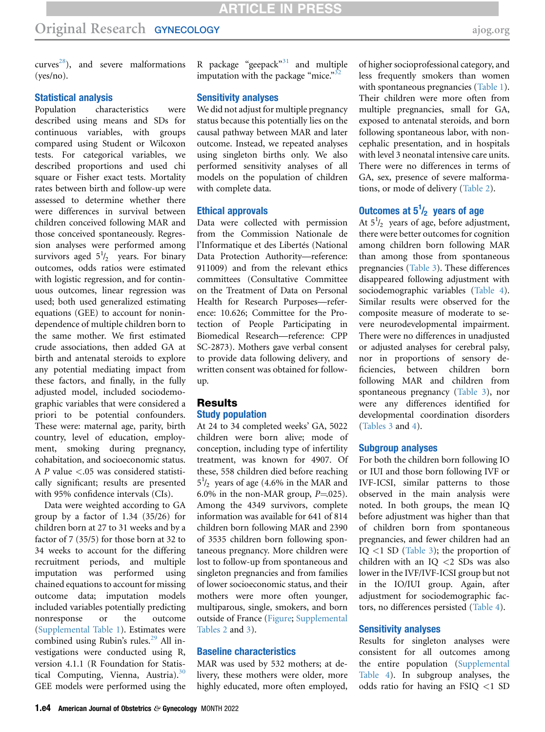curves<sup>28</sup>), and severe malformations (yes/no).

## Statistical analysis

Population characteristics were described using means and SDs for continuous variables, with groups compared using Student or Wilcoxon tests. For categorical variables, we described proportions and used chi square or Fisher exact tests. Mortality rates between birth and follow-up were assessed to determine whether there were differences in survival between children conceived following MAR and those conceived spontaneously. Regression analyses were performed among survivors aged  $5^{1}/_{2}$  years. For binary outcomes, odds ratios were estimated with logistic regression, and for continuous outcomes, linear regression was used; both used generalized estimating equations (GEE) to account for nonindependence of multiple children born to the same mother. We first estimated crude associations, then added GA at birth and antenatal steroids to explore any potential mediating impact from these factors, and finally, in the fully adjusted model, included sociodemographic variables that were considered a priori to be potential confounders. These were: maternal age, parity, birth country, level of education, employment, smoking during pregnancy, cohabitation, and socioeconomic status. A P value <.05 was considered statistically significant; results are presented with 95% confidence intervals (CIs).

Data were weighted according to GA group by a factor of 1.34 (35/26) for children born at 27 to 31 weeks and by a factor of 7 (35/5) for those born at 32 to 34 weeks to account for the differing recruitment periods, and multiple imputation was performed using chained equations to account for missing outcome data; imputation models included variables potentially predicting nonresponse or the outcome [\(Supplemental Table 1](#page-12-0)). Estimates were combined using Rubin's rules.<sup>[29](#page-10-18)</sup> All investigations were conducted using R, version 4.1.1 (R Foundation for Statistical Computing, Vienna, Austria). $30$ GEE models were performed using the

R package "geepack"<sup>[31](#page-10-20)</sup> and multiple imputation with the package "mice."<sup>[32](#page-10-21)</sup>

## Sensitivity analyses

We did not adjust for multiple pregnancy status because this potentially lies on the causal pathway between MAR and later outcome. Instead, we repeated analyses using singleton births only. We also performed sensitivity analyses of all models on the population of children with complete data.

## Ethical approvals

Data were collected with permission from the Commission Nationale de l'Informatique et des Libertés (National Data Protection Authority—reference: 911009) and from the relevant ethics committees (Consultative Committee on the Treatment of Data on Personal Health for Research Purposes—reference: 10.626; Committee for the Protection of People Participating in Biomedical Research—reference: CPP SC-2873). Mothers gave verbal consent to provide data following delivery, and written consent was obtained for followup.

## Results Study population

At 24 to 34 completed weeks' GA, 5022 children were born alive; mode of conception, including type of infertility treatment, was known for 4907. Of these, 558 children died before reaching  $5^{1}/_{2}$  years of age (4.6% in the MAR and 6.0% in the non-MAR group,  $P=025$ ). Among the 4349 survivors, complete information was available for 641 of 814 children born following MAR and 2390 of 3535 children born following spontaneous pregnancy. More children were lost to follow-up from spontaneous and singleton pregnancies and from families of lower socioeconomic status, and their mothers were more often younger, multiparous, single, smokers, and born outside of France [\(Figure](#page-2-0); [Supplemental](#page-14-0) [Tables 2](#page-14-0) and [3](#page-16-0)).

## Baseline characteristics

MAR was used by 532 mothers; at delivery, these mothers were older, more highly educated, more often employed,

of higher socioprofessional category, and less frequently smokers than women with spontaneous pregnancies ([Table 1\)](#page-4-0). Their children were more often from multiple pregnancies, small for GA, exposed to antenatal steroids, and born following spontaneous labor, with noncephalic presentation, and in hospitals with level 3 neonatal intensive care units. There were no differences in terms of GA, sex, presence of severe malformations, or mode of delivery [\(Table 2](#page-5-0)).

# Outcomes at  $5^{1}/_{2}$  years of age

At  $5^{1}/_{2}$  years of age, before adjustment, there were better outcomes for cognition among children born following MAR than among those from spontaneous pregnancies ([Table 3\)](#page-6-0). These differences disappeared following adjustment with sociodemographic variables [\(Table 4\)](#page-7-0). Similar results were observed for the composite measure of moderate to severe neurodevelopmental impairment. There were no differences in unadjusted or adjusted analyses for cerebral palsy, nor in proportions of sensory deficiencies, between children born following MAR and children from spontaneous pregnancy [\(Table 3](#page-6-0)), nor were any differences identified for developmental coordination disorders [\(Tables 3](#page-6-0) and [4\)](#page-7-0).

#### Subgroup analyses

For both the children born following IO or IUI and those born following IVF or IVF-ICSI, similar patterns to those observed in the main analysis were noted. In both groups, the mean IQ before adjustment was higher than that of children born from spontaneous pregnancies, and fewer children had an IQ <1 SD ([Table 3](#page-6-0)); the proportion of children with an IQ <2 SDs was also lower in the IVF/IVF-ICSI group but not in the IO/IUI group. Again, after adjustment for sociodemographic factors, no differences persisted ([Table 4\)](#page-7-0).

#### Sensitivity analyses

Results for singleton analyses were consistent for all outcomes among the entire population (Supplemental Table 4). In subgroup analyses, the odds ratio for having an FSIQ <1 SD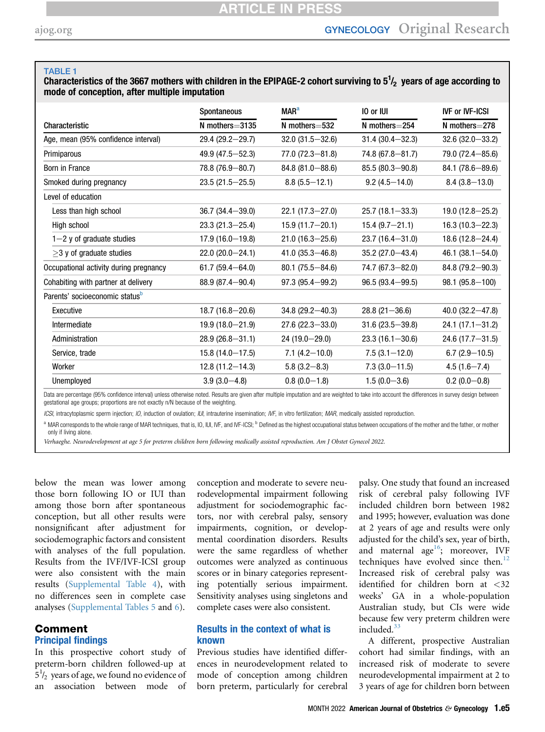#### <span id="page-4-0"></span>TABLE 1

Characteristics of the 3667 mothers with children in the EPIPAGE-2 cohort surviving to  $5\frac{1}{2}$  years of age according to mode of conception, after multiple imputation

|                                            | Spontaneous         | <b>MAR<sup>a</sup></b> | 10 or IUI           | <b>IVF or IVF-ICSI</b> |
|--------------------------------------------|---------------------|------------------------|---------------------|------------------------|
| Characteristic                             | $N$ mothers=3135    | $N$ mothers $=$ 532    | $N$ mothers $=$ 254 | $N$ mothers $=$ 278    |
| Age, mean (95% confidence interval)        | 29.4 (29.2-29.7)    | $32.0(31.5 - 32.6)$    | $31.4(30.4 - 32.3)$ | $32.6(32.0 - 33.2)$    |
| Primiparous                                | $49.9(47.5 - 52.3)$ | $77.0 (72.3 - 81.8)$   | $74.8(67.8 - 81.7)$ | 79.0 (72.4-85.6)       |
| Born in France                             | 78.8 (76.9-80.7)    | $84.8(81.0 - 88.6)$    | 85.5 (80.3-90.8)    | $84.1(78.6 - 89.6)$    |
| Smoked during pregnancy                    | $23.5(21.5 - 25.5)$ | $8.8(5.5 - 12.1)$      | $9.2(4.5 - 14.0)$   | $8.4(3.8 - 13.0)$      |
| Level of education                         |                     |                        |                     |                        |
| Less than high school                      | $36.7(34.4 - 39.0)$ | $22.1(17.3 - 27.0)$    | $25.7(18.1 - 33.3)$ | $19.0(12.8 - 25.2)$    |
| High school                                | $23.3(21.3 - 25.4)$ | $15.9(11.7 - 20.1)$    | $15.4(9.7-21.1)$    | $16.3(10.3 - 22.3)$    |
| $1-2$ y of graduate studies                | $17.9(16.0 - 19.8)$ | $21.0(16.3 - 25.6)$    | $23.7(16.4 - 31.0)$ | $18.6(12.8 - 24.4)$    |
| $\geq$ 3 y of graduate studies             | $22.0(20.0-24.1)$   | $41.0(35.3 - 46.8)$    | $35.2(27.0 - 43.4)$ | 46.1 $(38.1 - 54.0)$   |
| Occupational activity during pregnancy     | $61.7(59.4 - 64.0)$ | $80.1(75.5 - 84.6)$    | 74.7 (67.3-82.0)    | 84.8 (79.2-90.3)       |
| Cohabiting with partner at delivery        | $88.9(87.4 - 90.4)$ | $97.3(95.4 - 99.2)$    | $96.5(93.4 - 99.5)$ | $98.1(95.8-100)$       |
| Parents' socioeconomic status <sup>b</sup> |                     |                        |                     |                        |
| Executive                                  | $18.7(16.8 - 20.6)$ | $34.8(29.2 - 40.3)$    | $28.8(21 - 36.6)$   | $40.0(32.2 - 47.8)$    |
| Intermediate                               | $19.9(18.0 - 21.9)$ | $27.6(22.3 - 33.0)$    | $31.6(23.5 - 39.8)$ | $24.1(17.1 - 31.2)$    |
| Administration                             | $28.9(26.8 - 31.1)$ | $24(19.0-29.0)$        | $23.3(16.1 - 30.6)$ | $24.6(17.7 - 31.5)$    |
| Service, trade                             | $15.8(14.0 - 17.5)$ | $7.1(4.2 - 10.0)$      | $7.5(3.1 - 12.0)$   | $6.7(2.9-10.5)$        |
| Worker                                     | $12.8(11.2 - 14.3)$ | $5.8(3.2 - 8.3)$       | $7.3(3.0 - 11.5)$   | $4.5(1.6 - 7.4)$       |
| Unemployed                                 | $3.9(3.0-4.8)$      | $0.8(0.0-1.8)$         | $1.5(0.0-3.6)$      | $0.2(0.0-0.8)$         |

Data are percentage (95% confidence interval) unless otherwise noted. Results are given after multiple imputation and are weighted to take into account the differences in survey design between gestational age groups; proportions are not exactly n/N because of the weighting.

ICSI, intracytoplasmic sperm injection; IO, induction of ovulation; IUI, intrauterine insemination; IVF, in vitro fertilization; MAR, medically assisted reproduction.

<span id="page-4-1"></span><sup>a</sup> MAR corresponds to the whole range of MAR techniques, that is, IO, IUI, IVF, and IVF-ICSI; <sup>b</sup> Defined as the highest occupational status between occupations of the mother and the father, or mother only if living alone.

Verhaeghe. Neurodevelopment at age 5 for preterm children born following medically assisted reproduction. Am J Obstet Gynecol 2022.

below the mean was lower among those born following IO or IUI than among those born after spontaneous conception, but all other results were nonsignificant after adjustment for sociodemographic factors and consistent with analyses of the full population. Results from the IVF/IVF-ICSI group were also consistent with the main results ([Supplemental Table 4\)](#page-17-0), with no differences seen in complete case analyses [\(Supplemental Tables 5](#page-18-0) and [6\)](#page-19-0).

## Comment Principal findings

In this prospective cohort study of preterm-born children followed-up at  $5^{1/2}$  years of age, we found no evidence of an association between mode of conception and moderate to severe neurodevelopmental impairment following adjustment for sociodemographic factors, nor with cerebral palsy, sensory impairments, cognition, or developmental coordination disorders. Results were the same regardless of whether outcomes were analyzed as continuous scores or in binary categories representing potentially serious impairment. Sensitivity analyses using singletons and complete cases were also consistent.

## Results in the context of what is known

Previous studies have identified differences in neurodevelopment related to mode of conception among children born preterm, particularly for cerebral

palsy. One study that found an increased risk of cerebral palsy following IVF included children born between 1982 and 1995; however, evaluation was done at 2 years of age and results were only adjusted for the child's sex, year of birth, and maternal age<sup>16</sup>; moreover, IVF techniques have evolved since then. $12$ Increased risk of cerebral palsy was identified for children born at <32 weeks' GA in a whole-population Australian study, but CIs were wide because few very preterm children were included. $33$ 

A different, prospective Australian cohort had similar findings, with an increased risk of moderate to severe neurodevelopmental impairment at 2 to 3 years of age for children born between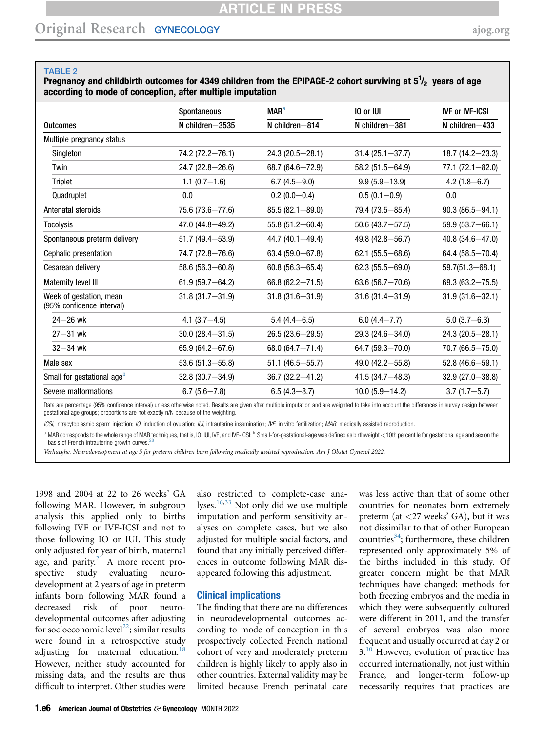#### <span id="page-5-0"></span>TABLE 2

Pregnancy and childbirth outcomes for 4349 children from the EPIPAGE-2 cohort surviving at  $5\frac{1}{2}$  years of age according to mode of conception, after multiple imputation

|                                                      | Spontaneous          | <b>MAR<sup>a</sup></b> | 10 or IUI            | <b>IVF or IVF-ICSI</b> |
|------------------------------------------------------|----------------------|------------------------|----------------------|------------------------|
| <b>Outcomes</b>                                      | $N$ children=3535    | $N$ children=814       | $N$ children=381     | N children $=$ 433     |
| Multiple pregnancy status                            |                      |                        |                      |                        |
| Singleton                                            | 74.2 (72.2-76.1)     | $24.3(20.5 - 28.1)$    | $31.4(25.1 - 37.7)$  | $18.7(14.2 - 23.3)$    |
| Twin                                                 | $24.7(22.8 - 26.6)$  | $68.7(64.6 - 72.9)$    | $58.2(51.5 - 64.9)$  | $77.1(72.1 - 82.0)$    |
| Triplet                                              | $1.1(0.7-1.6)$       | $6.7(4.5-9.0)$         | $9.9(5.9 - 13.9)$    | $4.2(1.8 - 6.7)$       |
| Quadruplet                                           | 0.0                  | $0.2(0.0-0.4)$         | $0.5(0.1-0.9)$       | 0.0                    |
| Antenatal steroids                                   | 75.6 (73.6-77.6)     | $85.5(82.1 - 89.0)$    | 79.4 (73.5 - 85.4)   | $90.3(86.5 - 94.1)$    |
| <b>Tocolysis</b>                                     | $47.0(44.8 - 49.2)$  | $55.8(51.2 - 60.4)$    | $50.6$ (43.7-57.5)   | $59.9(53.7 - 66.1)$    |
| Spontaneous preterm delivery                         | $51.7(49.4 - 53.9)$  | 44.7 (40.1-49.4)       | 49.8 $(42.8 - 56.7)$ | $40.8(34.6 - 47.0)$    |
| Cephalic presentation                                | 74.7 (72.8-76.6)     | 63.4 $(59.0 - 67.8)$   | $62.1(55.5-68.6)$    | 64.4 (58.5 $-70.4$ )   |
| Cesarean delivery                                    | 58.6 $(56.3 - 60.8)$ | $60.8(56.3 - 65.4)$    | $62.3(55.5 - 69.0)$  | $59.7(51.3 - 68.1)$    |
| Maternity level III                                  | $61.9(59.7 - 64.2)$  | $66.8(62.2 - 71.5)$    | $63.6(56.7 - 70.6)$  | $69.3(63.2 - 75.5)$    |
| Week of gestation, mean<br>(95% confidence interval) | $31.8(31.7 - 31.9)$  | $31.8(31.6 - 31.9)$    | $31.6(31.4 - 31.9)$  | $31.9(31.6 - 32.1)$    |
| $24 - 26$ wk                                         | $4.1(3.7 - 4.5)$     | $5.4(4.4 - 6.5)$       | $6.0(4.4 - 7.7)$     | $5.0(3.7-6.3)$         |
| $27 - 31$ wk                                         | $30.0(28.4 - 31.5)$  | $26.5(23.6 - 29.5)$    | $29.3(24.6 - 34.0)$  | $24.3(20.5 - 28.1)$    |
| $32 - 34$ wk                                         | $65.9(64.2 - 67.6)$  | $68.0(64.7 - 71.4)$    | $64.7(59.3 - 70.0)$  | 70.7 (66.5-75.0)       |
| Male sex                                             | 53.6 $(51.3 - 55.8)$ | $51.1 (46.5 - 55.7)$   | 49.0 $(42.2 - 55.8)$ | $52.8(46.6 - 59.1)$    |
| Small for gestational age <sup>b</sup>               | $32.8(30.7 - 34.9)$  | $36.7(32.2 - 41.2)$    | $41.5(34.7 - 48.3)$  | $32.9(27.0 - 38.8)$    |
| Severe malformations                                 | $6.7(5.6 - 7.8)$     | $6.5(4.3 - 8.7)$       | $10.0$ (5.9 – 14.2)  | $3.7(1.7 - 5.7)$       |

Data are percentage (95% confidence interval) unless otherwise noted. Results are given after multiple imputation and are weighted to take into account the differences in survey design between gestational age groups; proportions are not exactly n/N because of the weighting.

ICSI, intracytoplasmic sperm injection; IO, induction of ovulation; IUI, intrauterine insemination; IVF, in vitro fertilization; MAR, medically assisted reproduction.

<span id="page-5-1"></span>MAR corresponds to the whole range of MAR techniques, that is, IO, IUI, IVF, and IVF-ICSI; <sup>b</sup> Small-for-gestational-age was defined as birthweight <10th percentile for gestational age and sex on the basis of French intrauterine growth curves.

Verhaeghe. Neurodevelopment at age 5 for preterm children born following medically assisted reproduction. Am J Obstet Gynecol 2022.

1998 and 2004 at 22 to 26 weeks' GA following MAR. However, in subgroup analysis this applied only to births following IVF or IVF-ICSI and not to those following IO or IUI. This study only adjusted for year of birth, maternal age, and parity. $21$  A more recent prospective study evaluating neurodevelopment at 2 years of age in preterm infants born following MAR found a decreased risk of poor neurodevelopmental outcomes after adjusting for socioeconomic level<sup>22</sup>; similar results were found in a retrospective study adjusting for maternal education.<sup>18</sup> However, neither study accounted for missing data, and the results are thus difficult to interpret. Other studies were

also restricted to complete-case analyses.[16,](#page-10-5)[33](#page-10-22) Not only did we use multiple imputation and perform sensitivity analyses on complete cases, but we also adjusted for multiple social factors, and found that any initially perceived differences in outcome following MAR disappeared following this adjustment.

#### Clinical implications

The finding that there are no differences in neurodevelopmental outcomes according to mode of conception in this prospectively collected French national cohort of very and moderately preterm children is highly likely to apply also in other countries. External validity may be limited because French perinatal care

was less active than that of some other countries for neonates born extremely preterm (at <27 weeks' GA), but it was not dissimilar to that of other European countries<sup>34</sup>; furthermore, these children represented only approximately 5% of the births included in this study. Of greater concern might be that MAR techniques have changed: methods for both freezing embryos and the media in which they were subsequently cultured were different in 2011, and the transfer of several embryos was also more frequent and usually occurred at day 2 or 3.<sup>[10](#page-10-1)</sup> However, evolution of practice has occurred internationally, not just within France, and longer-term follow-up necessarily requires that practices are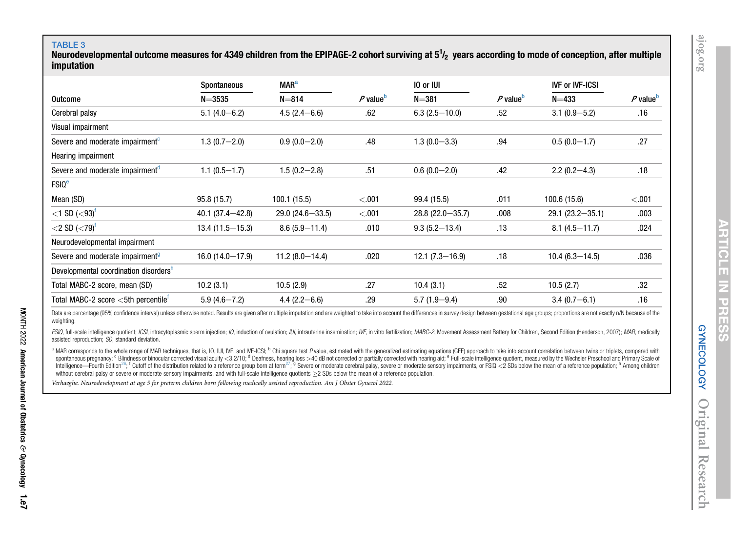## TABLE 3

<span id="page-6-0"></span>Neurodevelopmental outcome measures for 4349 children from the EPIPAGE-2 cohort surviving at 5 $^{\text{1}}\hspace{-3pt}/_2$  years according to mode of conception, after multiple imputation

|                                                                     | Spontaneous         | <b>MAR<sup>a</sup></b> |                      | 10 or IUI           |                      | <b>IVF or IVF-ICSI</b> |                        |
|---------------------------------------------------------------------|---------------------|------------------------|----------------------|---------------------|----------------------|------------------------|------------------------|
| Outcome                                                             | $N = 3535$          | $N = 814$              | P value <sup>b</sup> | $N = 381$           | P value <sup>b</sup> | $N = 433$              | $P$ value <sup>b</sup> |
| Cerebral palsy                                                      | $5.1(4.0-6.2)$      | $4.5(2.4 - 6.6)$       | .62                  | $6.3(2.5-10.0)$     | .52                  | $3.1(0.9 - 5.2)$       | .16                    |
| Visual impairment                                                   |                     |                        |                      |                     |                      |                        |                        |
| Severe and moderate impairment <sup>c</sup>                         | $1.3(0.7 - 2.0)$    | $0.9(0.0-2.0)$         | .48                  | $1.3(0.0 - 3.3)$    | .94                  | $0.5(0.0-1.7)$         | .27                    |
| Hearing impairment                                                  |                     |                        |                      |                     |                      |                        |                        |
| Severe and moderate impairment <sup>a</sup>                         | $1.1(0.5-1.7)$      | $1.5(0.2 - 2.8)$       | .51                  | $0.6(0.0-2.0)$      | .42                  | $2.2(0.2 - 4.3)$       | .18                    |
| <b>FSIQ<sup>e</sup></b>                                             |                     |                        |                      |                     |                      |                        |                        |
| Mean (SD)                                                           | 95.8(15.7)          | 100.1 (15.5)           | < .001               | 99.4 (15.5)         | .011                 | 100.6 (15.6)           | < .001                 |
| $<$ 1 SD ( $<$ 93) <sup>f</sup>                                     | $40.1(37.4 - 42.8)$ | $29.0(24.6 - 33.5)$    | < .001               | $28.8(22.0 - 35.7)$ | .008                 | $29.1(23.2 - 35.1)$    | .003                   |
| $<$ 2 SD ( $<$ 79) <sup>†</sup>                                     | $13.4(11.5 - 15.3)$ | $8.6(5.9 - 11.4)$      | .010                 | $9.3(5.2 - 13.4)$   | .13                  | $8.1(4.5 - 11.7)$      | .024                   |
| Neurodevelopmental impairment                                       |                     |                        |                      |                     |                      |                        |                        |
| Severe and moderate impairment <sup>9</sup>                         | $16.0(14.0-17.9)$   | $11.2(8.0-14.4)$       | .020                 | $12.1(7.3 - 16.9)$  | .18                  | $10.4(6.3 - 14.5)$     | .036                   |
| Developmental coordination disorders <sup>h</sup>                   |                     |                        |                      |                     |                      |                        |                        |
| Total MABC-2 score, mean (SD)                                       | 10.2(3.1)           | 10.5(2.9)              | .27                  | 10.4(3.1)           | .52                  | 10.5(2.7)              | .32                    |
| Total MABC-2 score $<$ 5th percentile $^{\text{\tiny{\textsf{T}}}}$ | $5.9(4.6 - 7.2)$    | $4.4(2.2 - 6.6)$       | .29                  | $5.7(1.9 - 9.4)$    | .90                  | $3.4(0.7 - 6.1)$       | .16                    |

Data are percentage (95% confidence interval) unless otherwise noted. Results are given after multiple imputation and are weighted to take into account the differences in survey design between gestational age groups; propo weighting.

FSIQ, full-scale intelligence quotient; ICSI, intracytoplasmic sperm injection; IO, induction of ovulation; IUI, intrauterine insemination; IVF, in vitro fertilization; MABC-2, Movement Assessment Battery for Children, Sec assisted reproduction; SD, standard deviation.

<sup>a</sup> MAR corresponds to the whole range of MAR techniques, that is, IO, IUI, IVF, and IVF-ICSI; <sup>b</sup> Chi square test P value, estimated with the generalized estimating equations (GEE) approach to take into account correlatio spontaneous pregnancy; <sup>c</sup> Blindness or binocular corrected visual acuity <3.2/10; <sup>d</sup> Deafness, hearing loss >40 dB not corrected or partially corrected with hearing aid; <sup>e</sup> Full-scale intelligence quotient, measured by Intelligence—Fourth Edition<sup>[26](#page-10-24)</sup>; <sup>f</sup> Cutoff of the distribution related to a reference group born at term<sup>[27](#page-10-25)</sup>; <sup>9</sup> Severe or moderate cerebral palsy, severe or moderate sensory impairments, or FSIQ <2 SDs below the mean o without cerebral palsy or severe or moderate sensory impairments, and with full-scale intelligence quotients  $\geq$ 2 SDs below the mean of a reference population.

Verhaeghe. Neurodevelopment at age <sup>5</sup> for preterm children born following medically assisted reproduction. Am J Obstet Gynecol 2022.

<span id="page-6-3"></span><span id="page-6-2"></span><span id="page-6-1"></span>**ABIICLE IN PRESS**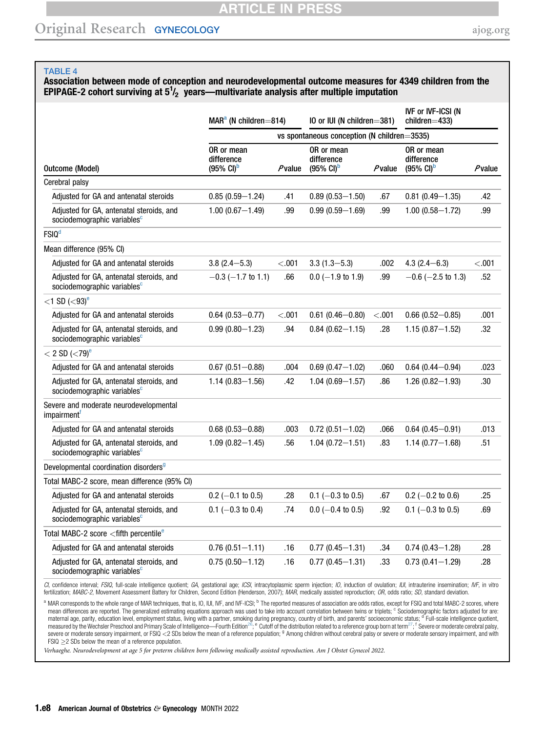# **ARTICLE IN PRESS**

# Original Research GYNECOLOGY [ajog.org](http://www.AJOG.org)

#### <span id="page-7-0"></span>TABLE 4

# Association between mode of conception and neurodevelopmental outcome measures for 4349 children from the EPIPAGE-2 cohort surviving at  $5^{1}/_{2}$  years—multivariate analysis after multiple imputation

|                                                                                     | $MARa$ (N children=814)                                    |         | IO or IUI (N children=381)                                 |                                             | <b>IVF or IVF-ICSI (N</b><br>$children = 433$              |         |  |  |
|-------------------------------------------------------------------------------------|------------------------------------------------------------|---------|------------------------------------------------------------|---------------------------------------------|------------------------------------------------------------|---------|--|--|
|                                                                                     |                                                            |         |                                                            | vs spontaneous conception (N children=3535) |                                                            |         |  |  |
| <b>Outcome (Model)</b>                                                              | OR or mean<br>difference<br>$(95\% \text{ Cl})^{\text{b}}$ | Pvalue  | OR or mean<br>difference<br>$(95\% \text{ Cl})^{\text{b}}$ | Pvalue                                      | OR or mean<br>difference<br>$(95\% \text{ Cl})^{\text{b}}$ | Pvalue  |  |  |
| Cerebral palsy                                                                      |                                                            |         |                                                            |                                             |                                                            |         |  |  |
| Adjusted for GA and antenatal steroids                                              | $0.85(0.59 - 1.24)$                                        | .41     | $0.89(0.53 - 1.50)$                                        | .67                                         | $0.81(0.49 - 1.35)$                                        | .42     |  |  |
| Adjusted for GA, antenatal steroids, and<br>sociodemographic variables <sup>c</sup> | $1.00(0.67 - 1.49)$                                        | .99     | $0.99(0.59 - 1.69)$                                        | .99                                         | $1.00(0.58 - 1.72)$                                        | .99     |  |  |
| <b>FSIQ<sup>d</sup></b>                                                             |                                                            |         |                                                            |                                             |                                                            |         |  |  |
| Mean difference (95% CI)                                                            |                                                            |         |                                                            |                                             |                                                            |         |  |  |
| Adjusted for GA and antenatal steroids                                              | $3.8(2.4 - 5.3)$                                           | < 0.001 | $3.3(1.3 - 5.3)$                                           | .002                                        | $4.3(2.4 - 6.3)$                                           | $-.001$ |  |  |
| Adjusted for GA, antenatal steroids, and<br>sociodemographic variables <sup>c</sup> | $-0.3$ ( $-1.7$ to 1.1)                                    | .66     | $0.0$ (-1.9 to 1.9)                                        | .99                                         | $-0.6$ ( $-2.5$ to 1.3)                                    | .52     |  |  |
| $<$ 1 SD ( $<$ 93) <sup>e</sup>                                                     |                                                            |         |                                                            |                                             |                                                            |         |  |  |
| Adjusted for GA and antenatal steroids                                              | $0.64(0.53 - 0.77)$                                        | < 0.001 | $0.61(0.46 - 0.80)$                                        | $<$ .001                                    | $0.66(0.52 - 0.85)$                                        | .001    |  |  |
| Adjusted for GA, antenatal steroids, and<br>sociodemographic variables <sup>c</sup> | $0.99(0.80 - 1.23)$                                        | .94     | $0.84(0.62 - 1.15)$                                        | .28                                         | $1.15(0.87 - 1.52)$                                        | .32     |  |  |
| $<$ 2 SD ( $<$ 79) <sup>e</sup>                                                     |                                                            |         |                                                            |                                             |                                                            |         |  |  |
| Adjusted for GA and antenatal steroids                                              | $0.67(0.51 - 0.88)$                                        | .004    | $0.69(0.47 - 1.02)$                                        | .060                                        | $0.64(0.44 - 0.94)$                                        | .023    |  |  |
| Adjusted for GA, antenatal steroids, and<br>sociodemographic variables <sup>c</sup> | $1.14(0.83 - 1.56)$                                        | .42     | $1.04(0.69 - 1.57)$                                        | .86                                         | $1.26(0.82 - 1.93)$                                        | .30     |  |  |
| Severe and moderate neurodevelopmental<br>impairment <sup>1</sup>                   |                                                            |         |                                                            |                                             |                                                            |         |  |  |
| Adjusted for GA and antenatal steroids                                              | $0.68(0.53 - 0.88)$                                        | .003    | $0.72(0.51 - 1.02)$                                        | .066                                        | $0.64(0.45 - 0.91)$                                        | .013    |  |  |
| Adjusted for GA, antenatal steroids, and<br>sociodemographic variables <sup>c</sup> | $1.09(0.82 - 1.45)$                                        | .56     | $1.04(0.72 - 1.51)$                                        | .83                                         | $1.14(0.77 - 1.68)$                                        | .51     |  |  |
| Developmental coordination disorders <sup>9</sup>                                   |                                                            |         |                                                            |                                             |                                                            |         |  |  |
| Total MABC-2 score, mean difference (95% CI)                                        |                                                            |         |                                                            |                                             |                                                            |         |  |  |
| Adjusted for GA and antenatal steroids                                              | $0.2$ (-0.1 to 0.5)                                        | .28     | $0.1$ (-0.3 to 0.5)                                        | .67                                         | $0.2$ (-0.2 to 0.6)                                        | .25     |  |  |
| Adjusted for GA, antenatal steroids, and<br>sociodemographic variables <sup>c</sup> | $0.1$ (-0.3 to 0.4)                                        | .74     | $0.0$ (-0.4 to 0.5)                                        | .92                                         | $0.1$ (-0.3 to 0.5)                                        | .69     |  |  |
| Total MABC-2 score <fifth percentile<sup="">e</fifth>                               |                                                            |         |                                                            |                                             |                                                            |         |  |  |
| Adjusted for GA and antenatal steroids                                              | $0.76(0.51 - 1.11)$                                        | .16     | $0.77(0.45 - 1.31)$                                        | .34                                         | $0.74(0.43 - 1.28)$                                        | .28     |  |  |
| Adjusted for GA, antenatal steroids, and<br>sociodemographic variables <sup>c</sup> | $0.75(0.50 - 1.12)$                                        | .16     | $0.77(0.45 - 1.31)$                                        | .33                                         | $0.73(0.41 - 1.29)$                                        | .28     |  |  |

CI, confidence interval; FSIQ, full-scale intelligence quotient; GA, gestational age; ICSI, intracytoplasmic sperm injection; IO, induction of ovulation; IUI, intrauterine insemination; IVF, in vitro fertilization; MABC-2, Movement Assessment Battery for Children, Second Edition (Henderson, 2007); MAR, medically assisted reproduction; OR, odds ratio; SD, standard deviation.

<span id="page-7-4"></span><span id="page-7-3"></span><span id="page-7-2"></span><span id="page-7-1"></span><sup>a</sup> MAR corresponds to the whole range of MAR techniques, that is, IO, IUI, IVF, and IVF-ICSI; <sup>b</sup> The reported measures of association are odds ratios, except for FSIQ and total MABC-2 scores, where mean differences are reported. The generalized estimating equations approach was used to take into account correlation between twins or triplets; <sup>c</sup> Sociodemographic factors adjusted for are: maternal age, parity, education level, employment status, living with a partner, smoking during pregnancy, country of birth, and parents' socioeconomic status; <sup>d</sup> Full-scale intelligence quotient,<br>measured by the Wechsler severe or moderate sensory impairment, or FSIQ <2 SDs below the mean of a reference population; <sup>9</sup> Among children without cerebral palsy or severe or moderate sensory impairment, and with  $FSIQ \geq 2$  SDs below the mean of a reference population.

<span id="page-7-5"></span>Verhaeghe. Neurodevelopment at age 5 for preterm children born following medically assisted reproduction. Am J Obstet Gynecol 2022.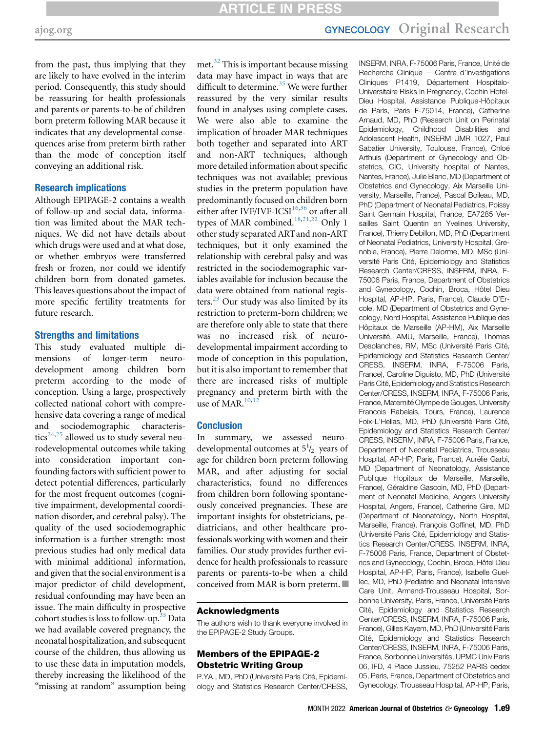from the past, thus implying that they are likely to have evolved in the interim period. Consequently, this study should be reassuring for health professionals and parents or parents-to-be of children born preterm following MAR because it indicates that any developmental consequences arise from preterm birth rather than the mode of conception itself conveying an additional risk.

# Research implications

Although EPIPAGE-2 contains a wealth of follow-up and social data, information was limited about the MAR techniques. We did not have details about which drugs were used and at what dose, or whether embryos were transferred fresh or frozen, nor could we identify children born from donated gametes. This leaves questions about the impact of more specific fertility treatments for future research.

## Strengths and limitations

This study evaluated multiple dimensions of longer-term neurodevelopment among children born preterm according to the mode of conception. Using a large, prospectively collected national cohort with comprehensive data covering a range of medical and sociodemographic characteris-tics<sup>[24](#page-10-13)[,25](#page-10-14)</sup> allowed us to study several neurodevelopmental outcomes while taking into consideration important confounding factors with sufficient power to detect potential differences, particularly for the most frequent outcomes (cognitive impairment, developmental coordination disorder, and cerebral palsy). The quality of the used sociodemographic information is a further strength: most previous studies had only medical data with minimal additional information, and given that the social environment is a major predictor of child development, residual confounding may have been an issue. The main difficulty in prospective cohort studies is loss to follow-up.<sup>[35](#page-10-26)</sup> Data we had available covered pregnancy, the neonatal hospitalization, and subsequent course of the children, thus allowing us to use these data in imputation models, thereby increasing the likelihood of the "missing at random" assumption being met.<sup>[32](#page-10-21)</sup> This is important because missing data may have impact in ways that are difficult to determine.<sup>[35](#page-10-26)</sup> We were further reassured by the very similar results found in analyses using complete cases. We were also able to examine the implication of broader MAR techniques both together and separated into ART and non-ART techniques, although more detailed information about specific techniques was not available; previous studies in the preterm population have predominantly focused on children born either after IVF/IVF-ICSI $16,36$  $16,36$  or after all types of MAR combined.<sup>[18](#page-10-7),[21](#page-10-10),[22](#page-10-11)</sup> Only 1 other study separated ARTand non-ART techniques, but it only examined the relationship with cerebral palsy and was restricted in the sociodemographic variables available for inclusion because the data were obtained from national registers.[23](#page-10-12) Our study was also limited by its restriction to preterm-born children; we are therefore only able to state that there was no increased risk of neurodevelopmental impairment according to mode of conception in this population, but it is also important to remember that there are increased risks of multiple pregnancy and preterm birth with the use of MAR. $10,12$  $10,12$ 

#### **Conclusion**

In summary, we assessed neurodevelopmental outcomes at  $5^{1/2}$  years of age for children born preterm following MAR, and after adjusting for social characteristics, found no differences from children born following spontaneously conceived pregnancies. These are important insights for obstetricians, pediatricians, and other healthcare professionals working with women and their families. Our study provides further evidence for health professionals to reassure parents or parents-to-be when a child conceived from MAR is born preterm.  $\Box$ 

#### Acknowledgments

The authors wish to thank everyone involved in the EPIPAGE-2 Study Groups.

## Members of the EPIPAGE-2 Obstetric Writing Group

P.YA., MD, PhD (Université Paris Cité, Epidemiology and Statistics Research Center/CRESS, INSERM, INRA, F-75006 Paris, France, Unité de Recherche Clinique  $-$  Centre d'Investigations Cliniques P1419, Département Hospitalo-Universitaire Risks in Pregnancy, Cochin Hotel-Dieu Hospital, Assistance Publique-Hôpitaux de Paris, Paris F-75014, France), Catherine Arnaud, MD, PhD (Research Unit on Perinatal Epidemiology, Childhood Disabilities and Adolescent Health, INSERM UMR 1027, Paul Sabatier University, Toulouse, France), Chloé Arthuis (Department of Gynecology and Obstetrics, CIC, University hospital of Nantes, Nantes, France), Julie Blanc, MD (Department of Obstetrics and Gynecology, Aix Marseille University, Marseille, France), Pascal Boileau, MD, PhD (Department of Neonatal Pediatrics, Poissy Saint Germain Hospital, France, EA7285 Versailles Saint Quentin en Yvelines University, France), Thierry Debillon, MD, PhD (Department of Neonatal Pediatrics, University Hospital, Grenoble, France), Pierre Delorme, MD, MSc (Université Paris Cité, Epidemiology and Statistics Research Center/CRESS, INSERM, INRA, F-75006 Paris, France, Department of Obstetrics and Gynecology, Cochin, Broca, Hôtel Dieu Hospital, AP-HP, Paris, France), Claude D'Ercole, MD (Department of Obstetrics and Gynecology, Nord Hospital, Assistance Publique des Hôpitaux de Marseille (AP-HM), Aix Marseille Université, AMU, Marseille, France), Thomas Desplanches, RM, MSc (Université Paris Cité, Epidemiology and Statistics Research Center/ CRESS, INSERM, INRA, F-75006 Paris, France), Caroline Diguisto, MD, PhD (Université Paris Cité, Epidemiology and Statistics Research Center/CRESS, INSERM, INRA, F-75006 Paris, France, Maternité Olympe de Gouges, University Francois Rabelais, Tours, France), Laurence Foix-L'Helias, MD, PhD (Université Paris Cité, Epidemiology and Statistics Research Center/ CRESS, INSERM, INRA, F-75006 Paris, France, Department of Neonatal Pediatrics, Trousseau Hospital, AP-HP, Paris, France), Aurélie Garbi, MD (Department of Neonatology, Assistance Publique Hopitaux de Marseille, Marseille, France), Géraldine Gascoin, MD, PhD (Department of Neonatal Medicine, Angers University Hospital, Angers, France), Catherine Gire, MD (Department of Neonatology, North Hospital, Marseille, France), François Goffinet, MD, PhD (Université Paris Cité, Epidemiology and Statistics Research Center/CRESS, INSERM, INRA, F-75006 Paris, France, Department of Obstetrics and Gynecology, Cochin, Broca, Hôtel Dieu Hospital, AP-HP, Paris, France), Isabelle Guellec, MD, PhD (Pediatric and Neonatal Intensive Care Unit, Armand-Trousseau Hospital, Sorbonne University, Paris, France, Université Paris Cité, Epidemiology and Statistics Research Center/CRESS, INSERM, INRA, F-75006 Paris, France), Gilles Kayem, MD, PhD (Université Paris Cité, Epidemiology and Statistics Research Center/CRESS, INSERM, INRA, F-75006 Paris, France, Sorbonne Universités, UPMC Univ Paris 06, IFD, 4 Place Jussieu, 75252 PARIS cedex 05, Paris, France, Department of Obstetrics and Gynecology, Trousseau Hospital, AP-HP, Paris,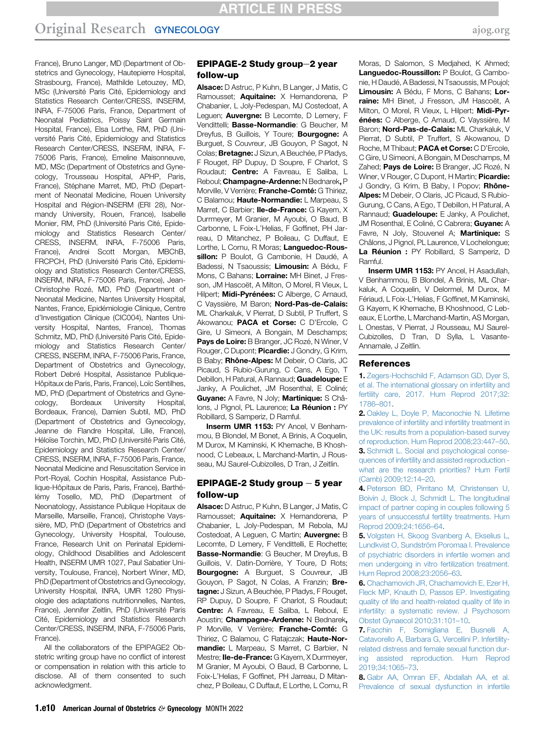France), Bruno Langer, MD (Department of Obstetrics and Gynecology, Hautepierre Hospital, Strasbourg, France), Mathilde Letouzey, MD, MSc (Université Paris Cité, Epidemiology and Statistics Research Center/CRESS, INSERM, INRA, F-75006 Paris, France, Department of Neonatal Pediatrics, Poissy Saint Germain Hospital, France), Elsa Lorthe, RM, PhD (Université Paris Cité, Epidemiology and Statistics Research Center/CRESS, INSERM, INRA, F-75006 Paris, France), Emeline Maisonneuve, MD, MSc (Department of Obstetrics and Gynecology, Trousseau Hospital, APHP, Paris, France), Stéphane Marret, MD, PhD (Department of Neonatal Medicine, Rouen University Hospital and Région-INSERM (ERI 28), Normandy University, Rouen, France), Isabelle Monier, RM, PhD (Université Paris Cité, Epidemiology and Statistics Research Center/ CRESS, INSERM, INRA, F-75006 Paris, France), Andrei Scott Morgan, MBChB, FRCPCH, PhD (Université Paris Cité, Epidemiology and Statistics Research Center/CRESS, INSERM, INRA, F-75006 Paris, France), Jean-Christophe Rozé, MD, PhD (Department of Neonatal Medicine, Nantes University Hospital, Nantes, France, Epidémiologie Clinique, Centre d'Investigation Clinique (CIC004), Nantes University Hospital, Nantes, France), Thomas Schmitz, MD, PhD (Université Paris Cité, Epidemiology and Statistics Research Center/ CRESS, INSERM, INRA, F-75006 Paris, France, Department of Obstetrics and Gynecology, Robert Debré Hospital, Assistance Publique-Hôpitaux de Paris, Paris, France), Loïc Sentilhes, MD, PhD (Department of Obstetrics and Gynecology, Bordeaux University Hospital, Bordeaux, France), Damien Subtil, MD, PhD (Department of Obstetrics and Gynecology, Jeanne de Flandre Hospital, Lille, France), Héloïse Torchin, MD, PhD (Université Paris Cité, Epidemiology and Statistics Research Center/ CRESS, INSERM, INRA, F-75006 Paris, France, Neonatal Medicine and Resuscitation Service in Port-Royal, Cochin Hospital, Assistance Publique-Hôpitaux de Paris, Paris, France), Barthélémy Tosello, MD, PhD (Department of Neonatology, Assistance Publique Hopitaux de Marseille, Marseille, France), Christophe Vayssière, MD, PhD (Department of Obstetrics and Gynecology, University Hospital, Toulouse, France, Research Unit on Perinatal Epidemiology, Childhood Disabilities and Adolescent Health, INSERM UMR 1027, Paul Sabatier University, Toulouse, France), Norbert Winer, MD, PhD (Department of Obstetrics and Gynecology, University Hospital, INRA, UMR 1280 Physiologie des adaptations nutritionnelles, Nantes, France), Jennifer Zeitlin, PhD (Université Paris Cité, Epidemiology and Statistics Research Center/CRESS, INSERM, INRA, F-75006 Paris, France).

All the collaborators of the EPIPAGE2 Obstetric writing group have no conflict of interest or compensation in relation with this article to disclose. All of them consented to such acknowledgment.

#### $EPIPAGE-2$  Study group-2 year follow-up

Alsace: D Astruc, P Kuhn, B Langer, J Matis, C Ramousset; **Aquitaine:** X Hernandorena, P Chabanier, L Joly-Pedespan, MJ Costedoat, A Leguen; **Auvergne:** B Lecomte, D Lemery, F Vendittelli; Basse-Normandie: G Beucher, M Dreyfus, B Guillois, Y Toure; **Bourgogne:** A Burguet, S Couvreur, JB Gouyon, P Sagot, N Colas; **Bretagne:** J Sizun, A Beuchée, P Pladys, F Rouget, RP Dupuy, D Soupre, F Charlot, S Roudaut; **Centre:** A Favreau, E Saliba, L Reboul; Champagne-Ardenne: N Bednarek, P Morville, V Verrière: Franche-Comté: G Thiriez, C Balamou; Haute-Normandie: L Marpeau, S Marret, C Barbier; Ile-de-France: G Kayem, X Durrmeyer, M Granier, M Ayoubi, O Baud, B Carbonne, L Foix-L'Helias, F Goffinet, PH Jarreau, D Mitanchez, P Boileau, C Duffaut, E Lorthe, L Cornu, R Moras; Languedoc-Roussillon: P Boulot, G Cambonie, H Daudé, A Badessi, N Tsaoussis; Limousin: A Bédu, F Mons, C Bahans; Lorraine: MH Binet, J Fresson, JM Hascoët, A Milton, O Morel, R Vieux, L Hilpert; Midi-Pyrénées: C Alberge, C Arnaud, C Vayssière, M Baron; Nord-Pas-de-Calais: ML Charkaluk, V Pierrat, D Subtil, P Truffert, S Akowanou; PACA et Corse: C D'Ercole, C Gire, U Simeoni, A Bongain, M Deschamps; Pays de Loire: B Branger, JC Rozé, N Winer, V Rouger, C Dupont; Picardie: J Gondry, G Krim, B Baby; Rhône-Alpes: M Debeir, O Claris, JC Picaud, S Rubio-Gurung, C Cans, A Ego, T Debillon, H Patural, A Rannaud; **Guadeloupe:** E Janky, A Poulichet, JM Rosenthal, E Coliné; Guyane: A Favre, N Joly; Martinique: S Châlons, J Pignol, PL Laurence; La Réunion : PY Robillard, S Samperiz, D Ramful.

Inserm UMR 1153: PY Ancel, V Benhammou, B Blondel, M Bonet, A Brinis, A Coquelin, M Durox, M Kaminski, K Khemache, B Khoshnood, C Lebeaux, L Marchand-Martin, J Rousseau, MJ Saurel-Cubizolles, D Tran, J Zeitlin.

#### EPIPAGE-2 Study group  $-5$  year follow-up

Alsace: D Astruc, P Kuhn, B Langer, J Matis, C Ramousset; **Aquitaine:** X Hernandorena, P Chabanier, L Joly-Pedespan, M Rebola, MJ Costedoat, A Leguen, C Martin; Auvergne: B Lecomte, D Lemery, F Vendittelli, E Rochette; Basse-Normandie: G Beucher, M Dreyfus, B Guillois, V. Datin-Dorrière, Y Toure, D Rots; **Bourgogne:** A Burguet, S Couvreur, JB Gouyon, P Sagot, N Colas, A Franzin; Bretagne: J Sizun, A Beuchée, P Pladys, F Rouget, RP Dupuy, D Soupre, F Charlot, S Roudaut; Centre: A Favreau, E Saliba, L Reboul, E Aoustin; Champagne-Ardenne: N Bednarek, P Morville, V Verrière; Franche-Comté: G Thiriez, C Balamou, C Ratajczak; Haute-Normandie: L Marpeau, S Marret, C Barbier, N Mestre; Ile-de-France: G Kayem, X Durrmeyer, M Granier, M Ayoubi, O Baud, B Carbonne, L Foix-L'Helias, F Goffinet, PH Jarreau, D Mitanchez, P Boileau, C Duffaut, E Lorthe, L Cornu, R Moras, D Salomon, S Medjahed, K Ahmed; Languedoc-Roussillon: P Boulot, G Cambonie, H Daudé, A Badessi, N Tsaoussis, M Poujol; Limousin: A Bédu, F Mons, C Bahans; Lorraine: MH Binet, J Fresson, JM Hascoët, A Milton, O Morel, R Vieux, L Hilpert; Midi-Pyrénées: C Alberge, C Arnaud, C Vayssière, M Baron; Nord-Pas-de-Calais: ML Charkaluk, V Pierrat, D Subtil, P Truffert, S Akowanou, D Roche, M Thibaut; PACA et Corse: C D'Ercole, C Gire, U Simeoni, A Bongain, M Deschamps, M Zahed; Pays de Loire: B Branger, JC Rozé, N Winer, V Rouger, C Dupont, H Martin; Picardie: J Gondry, G Krim, B Baby, I Popov; Rhône-Alpes: M Debeir, O Claris, JC Picaud, S Rubio-Gurung, C Cans, A Ego, T Debillon, H Patural, A Rannaud; **Guadeloupe:** E Janky, A Poulichet, JM Rosenthal, E Coliné, C Cabrera; Guyane: A Favre, N Joly, Stouvenel A; Martinique: S Châlons, J Pignol, PL Laurence, V Lochelongue; La Réunion : PY Robillard, S Samperiz, D Ramful.

Inserm UMR 1153: PY Ancel, H Asadullah, V Benhammou, B Blondel, A Brinis, ML Charkaluk, A Coquelin, V Delormel, M Durox, M Fériaud, L Foix-L'Helias, F Goffinet, M Kaminski, G Kayem, K Khemache, B Khoshnood, C Lebeaux, E Lorthe, L Marchand-Martin, AS Morgan, L Onestas, V Pierrat, J Rousseau, MJ Saurel-Cubizolles, D Tran, D Sylla, L Vasante-Annamale, J Zeitlin.

#### References

<span id="page-9-0"></span>1. [Zegers-Hochschild F, Adamson GD, Dyer S,](http://refhub.elsevier.com/S0002-9378(22)00437-9/sref1) [et al. The international glossary on infertility and](http://refhub.elsevier.com/S0002-9378(22)00437-9/sref1) [fertility care, 2017. Hum Reprod 2017;32:](http://refhub.elsevier.com/S0002-9378(22)00437-9/sref1) [1786](http://refhub.elsevier.com/S0002-9378(22)00437-9/sref1)–801.

<span id="page-9-1"></span>2. [Oakley L, Doyle P, Maconochie N. Lifetime](http://refhub.elsevier.com/S0002-9378(22)00437-9/sref2) [prevalence of infertility and infertility treatment in](http://refhub.elsevier.com/S0002-9378(22)00437-9/sref2) [the UK: results from a population-based survey](http://refhub.elsevier.com/S0002-9378(22)00437-9/sref2) [of reproduction. Hum Reprod 2008;23:447](http://refhub.elsevier.com/S0002-9378(22)00437-9/sref2)–50. 3. [Schmidt L. Social and psychological conse-](http://refhub.elsevier.com/S0002-9378(22)00437-9/sref3)

<span id="page-9-2"></span>[quences of infertility and assisted reproduction](http://refhub.elsevier.com/S0002-9378(22)00437-9/sref3)  [what are the research priorities? Hum Fertil](http://refhub.elsevier.com/S0002-9378(22)00437-9/sref3) [\(Camb\) 2009;12:14](http://refhub.elsevier.com/S0002-9378(22)00437-9/sref3)–20.

4. [Peterson BD, Pirritano M, Christensen U,](http://refhub.elsevier.com/S0002-9378(22)00437-9/sref4) [Boivin J, Block J, Schmidt L. The longitudinal](http://refhub.elsevier.com/S0002-9378(22)00437-9/sref4) [impact of partner coping in couples following 5](http://refhub.elsevier.com/S0002-9378(22)00437-9/sref4) [years of unsuccessful fertility treatments. Hum](http://refhub.elsevier.com/S0002-9378(22)00437-9/sref4) [Reprod 2009;24:1656](http://refhub.elsevier.com/S0002-9378(22)00437-9/sref4)–64.

5. [Volgsten H, Skoog Svanberg A, Ekselius L,](http://refhub.elsevier.com/S0002-9378(22)00437-9/sref5) [Lundkvist O, Sundström Poromaa I. Prevalence](http://refhub.elsevier.com/S0002-9378(22)00437-9/sref5) [of psychiatric disorders in infertile women and](http://refhub.elsevier.com/S0002-9378(22)00437-9/sref5) [men undergoing in vitro fertilization treatment.](http://refhub.elsevier.com/S0002-9378(22)00437-9/sref5) [Hum Reprod 2008;23:2056](http://refhub.elsevier.com/S0002-9378(22)00437-9/sref5)–63.

6. [Chachamovich JR, Chachamovich E, Ezer H,](http://refhub.elsevier.com/S0002-9378(22)00437-9/sref6) [Fleck MP, Knauth D, Passos EP. Investigating](http://refhub.elsevier.com/S0002-9378(22)00437-9/sref6) [quality of life and health-related quality of life in](http://refhub.elsevier.com/S0002-9378(22)00437-9/sref6) [infertility: a systematic review. J Psychosom](http://refhub.elsevier.com/S0002-9378(22)00437-9/sref6) [Obstet Gynaecol 2010;31:101](http://refhub.elsevier.com/S0002-9378(22)00437-9/sref6)–10.

7. [Facchin F, Somigliana E, Busnelli A,](http://refhub.elsevier.com/S0002-9378(22)00437-9/sref7) [Catavorello A, Barbara G, Vercellini P. Infertility](http://refhub.elsevier.com/S0002-9378(22)00437-9/sref7)[related distress and female sexual function dur](http://refhub.elsevier.com/S0002-9378(22)00437-9/sref7)[ing assisted reproduction. Hum Reprod](http://refhub.elsevier.com/S0002-9378(22)00437-9/sref7) [2019;34:1065](http://refhub.elsevier.com/S0002-9378(22)00437-9/sref7)–73.

8. [Gabr AA, Omran EF, Abdallah AA, et al.](http://refhub.elsevier.com/S0002-9378(22)00437-9/sref8) [Prevalence of sexual dysfunction in infertile](http://refhub.elsevier.com/S0002-9378(22)00437-9/sref8)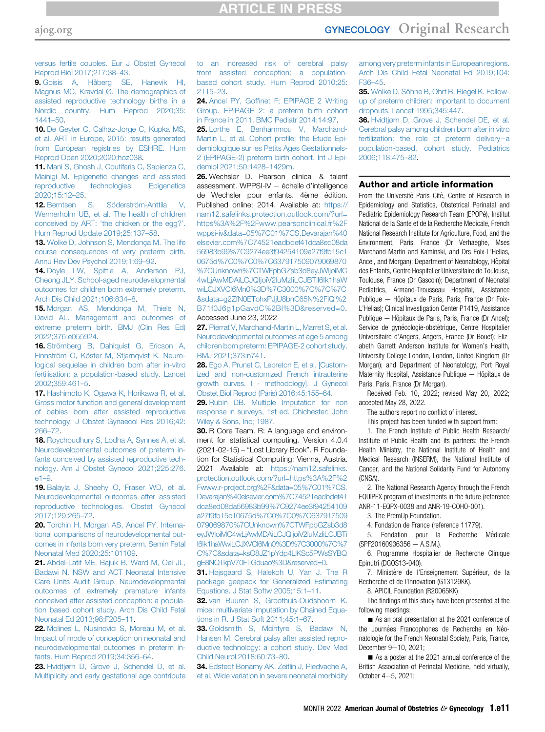# **ARTICLE IN PRESS**

# [ajog.org](http://www.AJOG.org) GYNECOLOGY Original Research

[versus fertile couples. Eur J Obstet Gynecol](http://refhub.elsevier.com/S0002-9378(22)00437-9/sref8) [Reprod Biol 2017;217:38](http://refhub.elsevier.com/S0002-9378(22)00437-9/sref8)–43.

<span id="page-10-0"></span>9. [Goisis A, Håberg SE, Hanevik HI,](http://refhub.elsevier.com/S0002-9378(22)00437-9/sref9) [Magnus MC, Kravdal Ø. The demographics of](http://refhub.elsevier.com/S0002-9378(22)00437-9/sref9) [assisted reproductive technology births in a](http://refhub.elsevier.com/S0002-9378(22)00437-9/sref9) [Nordic country. Hum Reprod 2020;35:](http://refhub.elsevier.com/S0002-9378(22)00437-9/sref9) [1441](http://refhub.elsevier.com/S0002-9378(22)00437-9/sref9)–50.

<span id="page-10-1"></span>10. [De Geyter C, Calhaz-Jorge C, Kupka MS,](http://refhub.elsevier.com/S0002-9378(22)00437-9/sref10) [et al. ART in Europe, 2015: results generated](http://refhub.elsevier.com/S0002-9378(22)00437-9/sref10) [from European registries by ESHRE. Hum](http://refhub.elsevier.com/S0002-9378(22)00437-9/sref10) [Reprod Open 2020;2020:hoz038](http://refhub.elsevier.com/S0002-9378(22)00437-9/sref10).

<span id="page-10-2"></span>11. [Mani S, Ghosh J, Coutifaris C, Sapienza C,](http://refhub.elsevier.com/S0002-9378(22)00437-9/sref11) [Mainigi M. Epigenetic changes and assisted](http://refhub.elsevier.com/S0002-9378(22)00437-9/sref11) [reproductive technologies. Epigenetics](http://refhub.elsevier.com/S0002-9378(22)00437-9/sref11) [2020;15:12](http://refhub.elsevier.com/S0002-9378(22)00437-9/sref11)–25.

<span id="page-10-3"></span>12. [Berntsen S, Söderström-Anttila V,](http://refhub.elsevier.com/S0002-9378(22)00437-9/sref12) [Wennerholm UB, et al. The health of children](http://refhub.elsevier.com/S0002-9378(22)00437-9/sref12) conceived by ART: '[the chicken or the egg?](http://refhub.elsevier.com/S0002-9378(22)00437-9/sref12)'. [Hum Reprod Update 2019;25:137](http://refhub.elsevier.com/S0002-9378(22)00437-9/sref12)–58.

<span id="page-10-4"></span>13. [Wolke D, Johnson S, Mendonça M. The life](http://refhub.elsevier.com/S0002-9378(22)00437-9/sref13) [course consequences of very preterm birth.](http://refhub.elsevier.com/S0002-9378(22)00437-9/sref13) [Annu Rev Dev Psychol 2019;1:69](http://refhub.elsevier.com/S0002-9378(22)00437-9/sref13)–92.

14. [Doyle LW, Spittle A, Anderson PJ,](http://refhub.elsevier.com/S0002-9378(22)00437-9/sref14) [Cheong JLY. School-aged neurodevelopmental](http://refhub.elsevier.com/S0002-9378(22)00437-9/sref14) [outcomes for children born extremely preterm.](http://refhub.elsevier.com/S0002-9378(22)00437-9/sref14) [Arch Dis Child 2021;106:834](http://refhub.elsevier.com/S0002-9378(22)00437-9/sref14)–8.

15. [Morgan AS, Mendonça M, Thiele N,](http://refhub.elsevier.com/S0002-9378(22)00437-9/sref15) [David AL. Management and outcomes of](http://refhub.elsevier.com/S0002-9378(22)00437-9/sref15) [extreme preterm birth. BMJ \(Clin Res Ed\)](http://refhub.elsevier.com/S0002-9378(22)00437-9/sref15) [2022;376:e055924](http://refhub.elsevier.com/S0002-9378(22)00437-9/sref15).

<span id="page-10-5"></span>16. [Strömberg B, Dahlquist G, Ericson A,](http://refhub.elsevier.com/S0002-9378(22)00437-9/sref16) [Finnström O, Köster M, Stjernqvist K. Neuro](http://refhub.elsevier.com/S0002-9378(22)00437-9/sref16)[logical sequelae in children born after in-vitro](http://refhub.elsevier.com/S0002-9378(22)00437-9/sref16) [fertilisation: a population-based study. Lancet](http://refhub.elsevier.com/S0002-9378(22)00437-9/sref16) [2002;359:461](http://refhub.elsevier.com/S0002-9378(22)00437-9/sref16)–5.

<span id="page-10-6"></span>17. [Hashimoto K, Ogawa K, Horikawa R, et al.](http://refhub.elsevier.com/S0002-9378(22)00437-9/sref17) [Gross motor function and general development](http://refhub.elsevier.com/S0002-9378(22)00437-9/sref17) [of babies born after assisted reproductive](http://refhub.elsevier.com/S0002-9378(22)00437-9/sref17) [technology. J Obstet Gynaecol Res 2016;42:](http://refhub.elsevier.com/S0002-9378(22)00437-9/sref17) [266](http://refhub.elsevier.com/S0002-9378(22)00437-9/sref17)–72.

<span id="page-10-7"></span>18. [Roychoudhury S, Lodha A, Synnes A, et al.](http://refhub.elsevier.com/S0002-9378(22)00437-9/sref18) [Neurodevelopmental outcomes of preterm in](http://refhub.elsevier.com/S0002-9378(22)00437-9/sref18)[fants conceived by assisted reproductive tech](http://refhub.elsevier.com/S0002-9378(22)00437-9/sref18)[nology. Am J Obstet Gynecol 2021;225:276.](http://refhub.elsevier.com/S0002-9378(22)00437-9/sref18) [e1](http://refhub.elsevier.com/S0002-9378(22)00437-9/sref18)–9.

<span id="page-10-8"></span>19. [Balayla J, Sheehy O, Fraser WD, et al.](http://refhub.elsevier.com/S0002-9378(22)00437-9/sref19) [Neurodevelopmental outcomes after assisted](http://refhub.elsevier.com/S0002-9378(22)00437-9/sref19) [reproductive technologies. Obstet Gynecol](http://refhub.elsevier.com/S0002-9378(22)00437-9/sref19) [2017;129:265](http://refhub.elsevier.com/S0002-9378(22)00437-9/sref19)–72.

<span id="page-10-9"></span>20. [Torchin H, Morgan AS, Ancel PY. Interna](http://refhub.elsevier.com/S0002-9378(22)00437-9/sref20)[tional comparisons of neurodevelopmental out](http://refhub.elsevier.com/S0002-9378(22)00437-9/sref20)[comes in infants born very preterm. Semin Fetal](http://refhub.elsevier.com/S0002-9378(22)00437-9/sref20) [Neonatal Med 2020;25:101109](http://refhub.elsevier.com/S0002-9378(22)00437-9/sref20).

<span id="page-10-10"></span>21. [Abdel-Latif ME, Bajuk B, Ward M, Oei JL,](http://refhub.elsevier.com/S0002-9378(22)00437-9/sref21) [Badawi N. NSW and ACT Neonatal Intensive](http://refhub.elsevier.com/S0002-9378(22)00437-9/sref21) [Care Units Audit Group. Neurodevelopmental](http://refhub.elsevier.com/S0002-9378(22)00437-9/sref21) [outcomes of extremely premature infants](http://refhub.elsevier.com/S0002-9378(22)00437-9/sref21) [conceived after assisted conception: a popula](http://refhub.elsevier.com/S0002-9378(22)00437-9/sref21)[tion based cohort study. Arch Dis Child Fetal](http://refhub.elsevier.com/S0002-9378(22)00437-9/sref21) [Neonatal Ed 2013;98:F205](http://refhub.elsevier.com/S0002-9378(22)00437-9/sref21)–11.

<span id="page-10-11"></span>22. [Molines L, Nusinovici S, Moreau M, et al.](http://refhub.elsevier.com/S0002-9378(22)00437-9/sref22) [Impact of mode of conception on neonatal and](http://refhub.elsevier.com/S0002-9378(22)00437-9/sref22) [neurodevelopmental outcomes in preterm in](http://refhub.elsevier.com/S0002-9378(22)00437-9/sref22)[fants. Hum Reprod 2019;34:356](http://refhub.elsevier.com/S0002-9378(22)00437-9/sref22)–64.

<span id="page-10-12"></span>23. [Hvidtjørn D, Grove J, Schendel D, et al.](http://refhub.elsevier.com/S0002-9378(22)00437-9/sref23) [Multiplicity and early gestational age contribute](http://refhub.elsevier.com/S0002-9378(22)00437-9/sref23) [to an increased risk of cerebral palsy](http://refhub.elsevier.com/S0002-9378(22)00437-9/sref23) [from assisted conception: a population](http://refhub.elsevier.com/S0002-9378(22)00437-9/sref23)[based cohort study. Hum Reprod 2010;25:](http://refhub.elsevier.com/S0002-9378(22)00437-9/sref23) [2115](http://refhub.elsevier.com/S0002-9378(22)00437-9/sref23)–23.

<span id="page-10-13"></span>24. Ancel PY, Goffi[net F; EPIPAGE 2 Writing](http://refhub.elsevier.com/S0002-9378(22)00437-9/sref24) [Group. EPIPAGE 2: a preterm birth cohort](http://refhub.elsevier.com/S0002-9378(22)00437-9/sref24) [in France in 2011. BMC Pediatr 2014;14:97.](http://refhub.elsevier.com/S0002-9378(22)00437-9/sref24)

<span id="page-10-14"></span>25. [Lorthe E, Benhammou V, Marchand-](http://refhub.elsevier.com/S0002-9378(22)00437-9/sref25)[Martin L, et al. Cohort pro](http://refhub.elsevier.com/S0002-9378(22)00437-9/sref25)file: the Etude Epi[demiologique sur les Petits Ages Gestationnels-](http://refhub.elsevier.com/S0002-9378(22)00437-9/sref25)[2 \(EPIPAGE-2\) preterm birth cohort. Int J Epi](http://refhub.elsevier.com/S0002-9378(22)00437-9/sref25)[demiol 2021;50:1428](http://refhub.elsevier.com/S0002-9378(22)00437-9/sref25)–1429m.

<span id="page-10-15"></span>26. Wechsler D. Pearson clinical & talent assessment. WPPSI-IV  $-$  échelle d'intelligence de Wechsler pour enfants. 4ème édition. Published online; 2014. Available at: [https://](https://nam12.safelinks.protection.outlook.com/?url=https%3A%2F%2Fwww.pearsonclinical.fr%2Fwppsi-iv&data=05%7C01%7CS.Devarajan%40elsevier.com%7C74521eadbdef41dca8ed08da56983b99%7C9274ee3f94254109a27f9fb15c10675d%7C0%7C0%7C637917509079069870%7CUnknown%7CTWFpbGZsb3d8eyJWIjoiMC4wLjAwMDAiLCJQIjoiV2luMzIiLCJBTiI6Ik1haWwiLCJXVCI6Mn0%3D%7C3000%7C%7C%7C&sdata=g2ZfN0ETohxPJjU8bnC65N%2FiQl%2B71f0J6g1pGavdC%2BI%3D&reserved=0) [nam12.safelinks.protection.outlook.com/?url=](https://nam12.safelinks.protection.outlook.com/?url=https%3A%2F%2Fwww.pearsonclinical.fr%2Fwppsi-iv&data=05%7C01%7CS.Devarajan%40elsevier.com%7C74521eadbdef41dca8ed08da56983b99%7C9274ee3f94254109a27f9fb15c10675d%7C0%7C0%7C637917509079069870%7CUnknown%7CTWFpbGZsb3d8eyJWIjoiMC4wLjAwMDAiLCJQIjoiV2luMzIiLCJBTiI6Ik1haWwiLCJXVCI6Mn0%3D%7C3000%7C%7C%7C&sdata=g2ZfN0ETohxPJjU8bnC65N%2FiQl%2B71f0J6g1pGavdC%2BI%3D&reserved=0) [https%3A%2F%2Fwww.pearsonclinical.fr%2F](https://nam12.safelinks.protection.outlook.com/?url=https%3A%2F%2Fwww.pearsonclinical.fr%2Fwppsi-iv&data=05%7C01%7CS.Devarajan%40elsevier.com%7C74521eadbdef41dca8ed08da56983b99%7C9274ee3f94254109a27f9fb15c10675d%7C0%7C0%7C637917509079069870%7CUnknown%7CTWFpbGZsb3d8eyJWIjoiMC4wLjAwMDAiLCJQIjoiV2luMzIiLCJBTiI6Ik1haWwiLCJXVCI6Mn0%3D%7C3000%7C%7C%7C&sdata=g2ZfN0ETohxPJjU8bnC65N%2FiQl%2B71f0J6g1pGavdC%2BI%3D&reserved=0) [wppsi-iv&data=05%7C01%7CS.Devarajan%40](https://nam12.safelinks.protection.outlook.com/?url=https%3A%2F%2Fwww.pearsonclinical.fr%2Fwppsi-iv&data=05%7C01%7CS.Devarajan%40elsevier.com%7C74521eadbdef41dca8ed08da56983b99%7C9274ee3f94254109a27f9fb15c10675d%7C0%7C0%7C637917509079069870%7CUnknown%7CTWFpbGZsb3d8eyJWIjoiMC4wLjAwMDAiLCJQIjoiV2luMzIiLCJBTiI6Ik1haWwiLCJXVCI6Mn0%3D%7C3000%7C%7C%7C&sdata=g2ZfN0ETohxPJjU8bnC65N%2FiQl%2B71f0J6g1pGavdC%2BI%3D&reserved=0) [elsevier.com%7C74521eadbdef41dca8ed08da](https://nam12.safelinks.protection.outlook.com/?url=https%3A%2F%2Fwww.pearsonclinical.fr%2Fwppsi-iv&data=05%7C01%7CS.Devarajan%40elsevier.com%7C74521eadbdef41dca8ed08da56983b99%7C9274ee3f94254109a27f9fb15c10675d%7C0%7C0%7C637917509079069870%7CUnknown%7CTWFpbGZsb3d8eyJWIjoiMC4wLjAwMDAiLCJQIjoiV2luMzIiLCJBTiI6Ik1haWwiLCJXVCI6Mn0%3D%7C3000%7C%7C%7C&sdata=g2ZfN0ETohxPJjU8bnC65N%2FiQl%2B71f0J6g1pGavdC%2BI%3D&reserved=0) [56983b99%7C9274ee3f94254109a27f9fb15c1](https://nam12.safelinks.protection.outlook.com/?url=https%3A%2F%2Fwww.pearsonclinical.fr%2Fwppsi-iv&data=05%7C01%7CS.Devarajan%40elsevier.com%7C74521eadbdef41dca8ed08da56983b99%7C9274ee3f94254109a27f9fb15c10675d%7C0%7C0%7C637917509079069870%7CUnknown%7CTWFpbGZsb3d8eyJWIjoiMC4wLjAwMDAiLCJQIjoiV2luMzIiLCJBTiI6Ik1haWwiLCJXVCI6Mn0%3D%7C3000%7C%7C%7C&sdata=g2ZfN0ETohxPJjU8bnC65N%2FiQl%2B71f0J6g1pGavdC%2BI%3D&reserved=0) [0675d%7C0%7C0%7C637917509079069870](https://nam12.safelinks.protection.outlook.com/?url=https%3A%2F%2Fwww.pearsonclinical.fr%2Fwppsi-iv&data=05%7C01%7CS.Devarajan%40elsevier.com%7C74521eadbdef41dca8ed08da56983b99%7C9274ee3f94254109a27f9fb15c10675d%7C0%7C0%7C637917509079069870%7CUnknown%7CTWFpbGZsb3d8eyJWIjoiMC4wLjAwMDAiLCJQIjoiV2luMzIiLCJBTiI6Ik1haWwiLCJXVCI6Mn0%3D%7C3000%7C%7C%7C&sdata=g2ZfN0ETohxPJjU8bnC65N%2FiQl%2B71f0J6g1pGavdC%2BI%3D&reserved=0) [%7CUnknown%7CTWFpbGZsb3d8eyJWIjoiMC](https://nam12.safelinks.protection.outlook.com/?url=https%3A%2F%2Fwww.pearsonclinical.fr%2Fwppsi-iv&data=05%7C01%7CS.Devarajan%40elsevier.com%7C74521eadbdef41dca8ed08da56983b99%7C9274ee3f94254109a27f9fb15c10675d%7C0%7C0%7C637917509079069870%7CUnknown%7CTWFpbGZsb3d8eyJWIjoiMC4wLjAwMDAiLCJQIjoiV2luMzIiLCJBTiI6Ik1haWwiLCJXVCI6Mn0%3D%7C3000%7C%7C%7C&sdata=g2ZfN0ETohxPJjU8bnC65N%2FiQl%2B71f0J6g1pGavdC%2BI%3D&reserved=0) [4wLjAwMDAiLCJQIjoiV2luMzIiLCJBTiI6Ik1haW](https://nam12.safelinks.protection.outlook.com/?url=https%3A%2F%2Fwww.pearsonclinical.fr%2Fwppsi-iv&data=05%7C01%7CS.Devarajan%40elsevier.com%7C74521eadbdef41dca8ed08da56983b99%7C9274ee3f94254109a27f9fb15c10675d%7C0%7C0%7C637917509079069870%7CUnknown%7CTWFpbGZsb3d8eyJWIjoiMC4wLjAwMDAiLCJQIjoiV2luMzIiLCJBTiI6Ik1haWwiLCJXVCI6Mn0%3D%7C3000%7C%7C%7C&sdata=g2ZfN0ETohxPJjU8bnC65N%2FiQl%2B71f0J6g1pGavdC%2BI%3D&reserved=0) [wiLCJXVCI6Mn0%3D%7C3000%7C%7C%7C](https://nam12.safelinks.protection.outlook.com/?url=https%3A%2F%2Fwww.pearsonclinical.fr%2Fwppsi-iv&data=05%7C01%7CS.Devarajan%40elsevier.com%7C74521eadbdef41dca8ed08da56983b99%7C9274ee3f94254109a27f9fb15c10675d%7C0%7C0%7C637917509079069870%7CUnknown%7CTWFpbGZsb3d8eyJWIjoiMC4wLjAwMDAiLCJQIjoiV2luMzIiLCJBTiI6Ik1haWwiLCJXVCI6Mn0%3D%7C3000%7C%7C%7C&sdata=g2ZfN0ETohxPJjU8bnC65N%2FiQl%2B71f0J6g1pGavdC%2BI%3D&reserved=0) [&sdata=g2ZfN0ETohxPJjU8bnC65N%2FiQl%2](https://nam12.safelinks.protection.outlook.com/?url=https%3A%2F%2Fwww.pearsonclinical.fr%2Fwppsi-iv&data=05%7C01%7CS.Devarajan%40elsevier.com%7C74521eadbdef41dca8ed08da56983b99%7C9274ee3f94254109a27f9fb15c10675d%7C0%7C0%7C637917509079069870%7CUnknown%7CTWFpbGZsb3d8eyJWIjoiMC4wLjAwMDAiLCJQIjoiV2luMzIiLCJBTiI6Ik1haWwiLCJXVCI6Mn0%3D%7C3000%7C%7C%7C&sdata=g2ZfN0ETohxPJjU8bnC65N%2FiQl%2B71f0J6g1pGavdC%2BI%3D&reserved=0) [B71f0J6g1pGavdC%2BI%3D&reserved=0.](https://nam12.safelinks.protection.outlook.com/?url=https%3A%2F%2Fwww.pearsonclinical.fr%2Fwppsi-iv&data=05%7C01%7CS.Devarajan%40elsevier.com%7C74521eadbdef41dca8ed08da56983b99%7C9274ee3f94254109a27f9fb15c10675d%7C0%7C0%7C637917509079069870%7CUnknown%7CTWFpbGZsb3d8eyJWIjoiMC4wLjAwMDAiLCJQIjoiV2luMzIiLCJBTiI6Ik1haWwiLCJXVCI6Mn0%3D%7C3000%7C%7C%7C&sdata=g2ZfN0ETohxPJjU8bnC65N%2FiQl%2B71f0J6g1pGavdC%2BI%3D&reserved=0) Accessed June 23, 2022

<span id="page-10-16"></span>27. [Pierrat V, Marchand-Martin L, Marret S, et al.](http://refhub.elsevier.com/S0002-9378(22)00437-9/sref27) [Neurodevelopmental outcomes at age 5 among](http://refhub.elsevier.com/S0002-9378(22)00437-9/sref27) [children born preterm: EPIPAGE-2 cohort study.](http://refhub.elsevier.com/S0002-9378(22)00437-9/sref27) [BMJ 2021;373:n741.](http://refhub.elsevier.com/S0002-9378(22)00437-9/sref27)

<span id="page-10-17"></span>28. [Ego A, Prunet C, Lebreton E, et al. \[Custom](http://refhub.elsevier.com/S0002-9378(22)00437-9/sref28)[ized and non-customized French intrauterine](http://refhub.elsevier.com/S0002-9378(22)00437-9/sref28) [growth curves. I - methodology\]. J Gynecol](http://refhub.elsevier.com/S0002-9378(22)00437-9/sref28) [Obstet Biol Reprod \(Paris\) 2016;45:155](http://refhub.elsevier.com/S0002-9378(22)00437-9/sref28)–64.

<span id="page-10-18"></span>29. [Rubin DB. Multiple Imputation for non](http://refhub.elsevier.com/S0002-9378(22)00437-9/sref29) [response in surveys, 1st ed. Chichester: John](http://refhub.elsevier.com/S0002-9378(22)00437-9/sref29) [Wiley & Sons, Inc; 1987.](http://refhub.elsevier.com/S0002-9378(22)00437-9/sref29)

<span id="page-10-19"></span>30. R Core Team. R: A language and environment for statistical computing. Version 4.0.4 (2021-02-15) – "Lost Library Book". R Foundation for Statistical Computing: Vienna, Austria. 2021 Available at: [https://nam12.safelinks.](https://nam12.safelinks.protection.outlook.com/?url=https%3A%2F%2Fwww.r-project.org%2F&data=05%7C01%7CS.Devarajan%40elsevier.com%7C74521eadbdef41dca8ed08da56983b99%7C9274ee3f94254109a27f9fb15c10675d%7C0%7C0%7C637917509079069870%7CUnknown%7CTWFpbGZsb3d8eyJWIjoiMC4wLjAwMDAiLCJQIjoiV2luMzIiLCJBTiI6Ik1haWwiLCJXVCI6Mn0%3D%7C3000%7C%7C%7C&sdata=ksO8JZ1pYdp4LlKSc5PWsSYBQgE8NQTkpV70FTGduao%3D&reserved=0) [protection.outlook.com/?url=https%3A%2F%2](https://nam12.safelinks.protection.outlook.com/?url=https%3A%2F%2Fwww.r-project.org%2F&data=05%7C01%7CS.Devarajan%40elsevier.com%7C74521eadbdef41dca8ed08da56983b99%7C9274ee3f94254109a27f9fb15c10675d%7C0%7C0%7C637917509079069870%7CUnknown%7CTWFpbGZsb3d8eyJWIjoiMC4wLjAwMDAiLCJQIjoiV2luMzIiLCJBTiI6Ik1haWwiLCJXVCI6Mn0%3D%7C3000%7C%7C%7C&sdata=ksO8JZ1pYdp4LlKSc5PWsSYBQgE8NQTkpV70FTGduao%3D&reserved=0) [Fwww.r-project.org%2F&data=05%7C01%7CS.](https://nam12.safelinks.protection.outlook.com/?url=https%3A%2F%2Fwww.r-project.org%2F&data=05%7C01%7CS.Devarajan%40elsevier.com%7C74521eadbdef41dca8ed08da56983b99%7C9274ee3f94254109a27f9fb15c10675d%7C0%7C0%7C637917509079069870%7CUnknown%7CTWFpbGZsb3d8eyJWIjoiMC4wLjAwMDAiLCJQIjoiV2luMzIiLCJBTiI6Ik1haWwiLCJXVCI6Mn0%3D%7C3000%7C%7C%7C&sdata=ksO8JZ1pYdp4LlKSc5PWsSYBQgE8NQTkpV70FTGduao%3D&reserved=0) [Devarajan%40elsevier.com%7C74521eadbdef41](https://nam12.safelinks.protection.outlook.com/?url=https%3A%2F%2Fwww.r-project.org%2F&data=05%7C01%7CS.Devarajan%40elsevier.com%7C74521eadbdef41dca8ed08da56983b99%7C9274ee3f94254109a27f9fb15c10675d%7C0%7C0%7C637917509079069870%7CUnknown%7CTWFpbGZsb3d8eyJWIjoiMC4wLjAwMDAiLCJQIjoiV2luMzIiLCJBTiI6Ik1haWwiLCJXVCI6Mn0%3D%7C3000%7C%7C%7C&sdata=ksO8JZ1pYdp4LlKSc5PWsSYBQgE8NQTkpV70FTGduao%3D&reserved=0) [dca8ed08da56983b99%7C9274ee3f94254109](https://nam12.safelinks.protection.outlook.com/?url=https%3A%2F%2Fwww.r-project.org%2F&data=05%7C01%7CS.Devarajan%40elsevier.com%7C74521eadbdef41dca8ed08da56983b99%7C9274ee3f94254109a27f9fb15c10675d%7C0%7C0%7C637917509079069870%7CUnknown%7CTWFpbGZsb3d8eyJWIjoiMC4wLjAwMDAiLCJQIjoiV2luMzIiLCJBTiI6Ik1haWwiLCJXVCI6Mn0%3D%7C3000%7C%7C%7C&sdata=ksO8JZ1pYdp4LlKSc5PWsSYBQgE8NQTkpV70FTGduao%3D&reserved=0) [a27f9fb15c10675d%7C0%7C0%7C637917509](https://nam12.safelinks.protection.outlook.com/?url=https%3A%2F%2Fwww.r-project.org%2F&data=05%7C01%7CS.Devarajan%40elsevier.com%7C74521eadbdef41dca8ed08da56983b99%7C9274ee3f94254109a27f9fb15c10675d%7C0%7C0%7C637917509079069870%7CUnknown%7CTWFpbGZsb3d8eyJWIjoiMC4wLjAwMDAiLCJQIjoiV2luMzIiLCJBTiI6Ik1haWwiLCJXVCI6Mn0%3D%7C3000%7C%7C%7C&sdata=ksO8JZ1pYdp4LlKSc5PWsSYBQgE8NQTkpV70FTGduao%3D&reserved=0) [079069870%7CUnknown%7CTWFpbGZsb3d8](https://nam12.safelinks.protection.outlook.com/?url=https%3A%2F%2Fwww.r-project.org%2F&data=05%7C01%7CS.Devarajan%40elsevier.com%7C74521eadbdef41dca8ed08da56983b99%7C9274ee3f94254109a27f9fb15c10675d%7C0%7C0%7C637917509079069870%7CUnknown%7CTWFpbGZsb3d8eyJWIjoiMC4wLjAwMDAiLCJQIjoiV2luMzIiLCJBTiI6Ik1haWwiLCJXVCI6Mn0%3D%7C3000%7C%7C%7C&sdata=ksO8JZ1pYdp4LlKSc5PWsSYBQgE8NQTkpV70FTGduao%3D&reserved=0) [eyJWIoiMC4wLjAwMDAiLCJQIjoiV2luMzIiLCJBTi](https://nam12.safelinks.protection.outlook.com/?url=https%3A%2F%2Fwww.r-project.org%2F&data=05%7C01%7CS.Devarajan%40elsevier.com%7C74521eadbdef41dca8ed08da56983b99%7C9274ee3f94254109a27f9fb15c10675d%7C0%7C0%7C637917509079069870%7CUnknown%7CTWFpbGZsb3d8eyJWIjoiMC4wLjAwMDAiLCJQIjoiV2luMzIiLCJBTiI6Ik1haWwiLCJXVCI6Mn0%3D%7C3000%7C%7C%7C&sdata=ksO8JZ1pYdp4LlKSc5PWsSYBQgE8NQTkpV70FTGduao%3D&reserved=0) [I6Ik1haWwiLCJXVCI6Mn0%3D%7C3000%7C%7](https://nam12.safelinks.protection.outlook.com/?url=https%3A%2F%2Fwww.r-project.org%2F&data=05%7C01%7CS.Devarajan%40elsevier.com%7C74521eadbdef41dca8ed08da56983b99%7C9274ee3f94254109a27f9fb15c10675d%7C0%7C0%7C637917509079069870%7CUnknown%7CTWFpbGZsb3d8eyJWIjoiMC4wLjAwMDAiLCJQIjoiV2luMzIiLCJBTiI6Ik1haWwiLCJXVCI6Mn0%3D%7C3000%7C%7C%7C&sdata=ksO8JZ1pYdp4LlKSc5PWsSYBQgE8NQTkpV70FTGduao%3D&reserved=0) [C%7C&sdata=ksO8JZ1pYdp4LlKSc5PWsSYBQ](https://nam12.safelinks.protection.outlook.com/?url=https%3A%2F%2Fwww.r-project.org%2F&data=05%7C01%7CS.Devarajan%40elsevier.com%7C74521eadbdef41dca8ed08da56983b99%7C9274ee3f94254109a27f9fb15c10675d%7C0%7C0%7C637917509079069870%7CUnknown%7CTWFpbGZsb3d8eyJWIjoiMC4wLjAwMDAiLCJQIjoiV2luMzIiLCJBTiI6Ik1haWwiLCJXVCI6Mn0%3D%7C3000%7C%7C%7C&sdata=ksO8JZ1pYdp4LlKSc5PWsSYBQgE8NQTkpV70FTGduao%3D&reserved=0) [gE8NQTkpV70FTGduao%3D&reserved=0.](https://nam12.safelinks.protection.outlook.com/?url=https%3A%2F%2Fwww.r-project.org%2F&data=05%7C01%7CS.Devarajan%40elsevier.com%7C74521eadbdef41dca8ed08da56983b99%7C9274ee3f94254109a27f9fb15c10675d%7C0%7C0%7C637917509079069870%7CUnknown%7CTWFpbGZsb3d8eyJWIjoiMC4wLjAwMDAiLCJQIjoiV2luMzIiLCJBTiI6Ik1haWwiLCJXVCI6Mn0%3D%7C3000%7C%7C%7C&sdata=ksO8JZ1pYdp4LlKSc5PWsSYBQgE8NQTkpV70FTGduao%3D&reserved=0)

<span id="page-10-20"></span>31. [Højsgaard S, Halekoh U, Yan J. The R](http://refhub.elsevier.com/S0002-9378(22)00437-9/sref31) [package geepack for Generalized Estimating](http://refhub.elsevier.com/S0002-9378(22)00437-9/sref31) [Equations. J Stat Softw 2005;15:1](http://refhub.elsevier.com/S0002-9378(22)00437-9/sref31)–11.

<span id="page-10-21"></span>32. [van Buuren S, Groothuis-Oudshoorn K.](http://refhub.elsevier.com/S0002-9378(22)00437-9/sref32) [mice: multivariate Imputation by Chained Equa](http://refhub.elsevier.com/S0002-9378(22)00437-9/sref32)[tions in R. J Stat Soft 2011;45:1](http://refhub.elsevier.com/S0002-9378(22)00437-9/sref32)–67.

<span id="page-10-22"></span>33. [Goldsmith S, Mcintyre S, Badawi N,](http://refhub.elsevier.com/S0002-9378(22)00437-9/sref33) [Hansen M. Cerebral palsy after assisted repro](http://refhub.elsevier.com/S0002-9378(22)00437-9/sref33)[ductive technology: a cohort study. Dev Med](http://refhub.elsevier.com/S0002-9378(22)00437-9/sref33) [Child Neurol 2018;60:73](http://refhub.elsevier.com/S0002-9378(22)00437-9/sref33)–80.

<span id="page-10-23"></span>34. [Edstedt Bonamy AK, Zeitlin J, Piedvache A,](http://refhub.elsevier.com/S0002-9378(22)00437-9/sref34) [et al. Wide variation in severe neonatal morbidity](http://refhub.elsevier.com/S0002-9378(22)00437-9/sref34) [among very preterm infants in European regions.](http://refhub.elsevier.com/S0002-9378(22)00437-9/sref34) [Arch Dis Child Fetal Neonatal Ed 2019;104:](http://refhub.elsevier.com/S0002-9378(22)00437-9/sref34) [F36](http://refhub.elsevier.com/S0002-9378(22)00437-9/sref34)–45.

<span id="page-10-26"></span>35. [Wolke D, Söhne B, Ohrt B, Riegel K. Follow](http://refhub.elsevier.com/S0002-9378(22)00437-9/sref35)[up of preterm children: important to document](http://refhub.elsevier.com/S0002-9378(22)00437-9/sref35) [dropouts. Lancet 1995;345:447.](http://refhub.elsevier.com/S0002-9378(22)00437-9/sref35)

<span id="page-10-27"></span>36. [Hvidtjørn D, Grove J, Schendel DE, et al.](http://refhub.elsevier.com/S0002-9378(22)00437-9/sref36) [Cerebral palsy among children born after in vitro](http://refhub.elsevier.com/S0002-9378(22)00437-9/sref36) [fertilization: the role of preterm delivery](http://refhub.elsevier.com/S0002-9378(22)00437-9/sref36)-a [population-based, cohort study. Pediatrics](http://refhub.elsevier.com/S0002-9378(22)00437-9/sref36) [2006;118:475](http://refhub.elsevier.com/S0002-9378(22)00437-9/sref36)–82.

## Author and article information

<span id="page-10-25"></span><span id="page-10-24"></span>From the Université Paris Cité, Centre of Research in Epidemiology and Statistics, Obstetrical Perinatal and Pediatric Epidemiology Research Team (EPOPé), Institut National de la Sante et de la Recherche Medicale, French National Research Institute for Agriculture, Food, and the Environment, Paris, France (Dr Verhaeghe, Mses Marchand-Martin and Kaminski, and Drs Foix-L'Helias, Ancel, and Morgan); Department of Neonatology, Hôpital des Enfants, Centre Hospitalier Universitaire de Toulouse, Toulouse, France (Dr Gascoin); Department of Neonatal Pediatrics, Armand-Trousseau Hospital, Assistance Publique - Hôpitaux de Paris, Paris, France (Dr Foix-L'Helias); Clinical Investigation Center P1419, Assistance Publique - Hôpitaux de Paris, Paris, France (Dr Ancel); Service de gynécologie-obstétrique, Centre Hospitalier Universitaire d'Angers, Angers, France (Dr Bouet); Elizabeth Garrett Anderson Institute for Women's Health, University College London, London, United Kingdom (Dr Morgan); and Department of Neonatology, Port Royal Maternity Hospital, Assistance Publique - Hôpitaux de Paris, Paris, France (Dr Morgan).

Received Feb. 10, 2022; revised May 20, 2022; accepted May 28, 2022.

The authors report no conflict of interest.

This project has been funded with support from:

1. The French Institute of Public Health Research/ Institute of Public Health and its partners: the French Health Ministry, the National Institute of Health and Medical Research (INSERM), the National Institute of Cancer, and the National Solidarity Fund for Autonomy (CNSA).

2. The National Research Agency through the French EQUIPEX program of investments in the future (reference ANR-11-EQPX-0038 and ANR-19-COHO-001).

3. The PremUp Foundation.

4. Fondation de France (reference 11779).

5. Fondation pour la Recherche Médicale  $(SPF20160936356 - A.S.M.).$ 

6. Programme Hospitalier de Recherche Clinique Epinutri (DGOS13-040).

7. Ministère de l'Enseignement Supérieur, de la Recherche et de l'Innovation (G13129KK).

8. APICIL Foundation (R20065KK).

The findings of this study have been presented at the following meetings:

As an oral presentation at the 2021 conference of the Journées Francophones de Recherche en Néonatologie for the French Neonatal Society, Paris, France, December 9-10, 2021;

As a poster at the 2021 annual conference of the British Association of Perinatal Medicine, held virtually, October 4-5, 2021;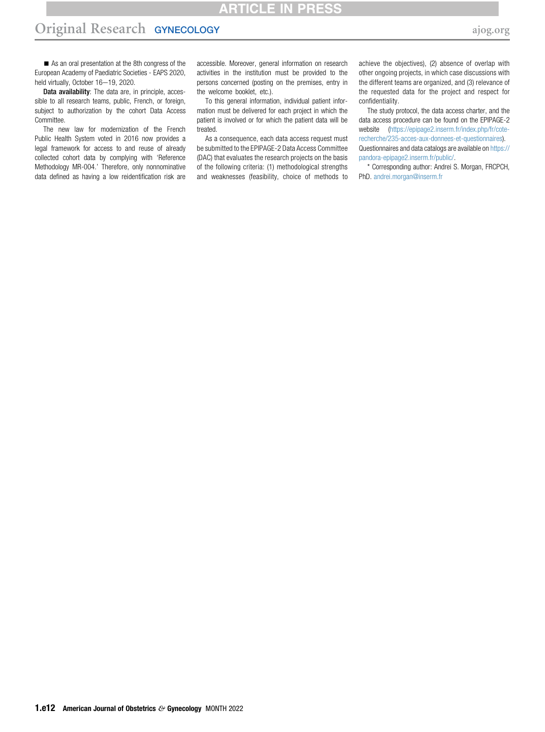ARTICLE IN I

# Original Research GYNECOLOGY [ajog.org](http://www.AJOG.org) and a strategy and a strategy and a strategy and a strategy of  $\sim$

As an oral presentation at the 8th congress of the European Academy of Paediatric Societies - EAPS 2020, held virtually, October 16-19, 2020.

Data availability: The data are, in principle, accessible to all research teams, public, French, or foreign, subject to authorization by the cohort Data Access Committee.

The new law for modernization of the French Public Health System voted in 2016 now provides a legal framework for access to and reuse of already collected cohort data by complying with 'Reference Methodology MR-004.' Therefore, only nonnominative data defined as having a low reidentification risk are

accessible. Moreover, general information on research activities in the institution must be provided to the persons concerned (posting on the premises, entry in the welcome booklet, etc.).

To this general information, individual patient information must be delivered for each project in which the patient is involved or for which the patient data will be treated.

As a consequence, each data access request must be submitted to the EPIPAGE-2 Data Access Committee (DAC) that evaluates the research projects on the basis of the following criteria: (1) methodological strengths and weaknesses (feasibility, choice of methods to achieve the objectives), (2) absence of overlap with other ongoing projects, in which case discussions with the different teams are organized, and (3) relevance of the requested data for the project and respect for confidentiality.

The study protocol, the data access charter, and the data access procedure can be found on the EPIPAGE-2 website [\(https://epipage2.inserm.fr/index.php/fr/cote](https://epipage2.inserm.fr/index.php/fr/cote-recherche/235-acces-aux-donnees-et-questionnaires)[recherche/235-acces-aux-donnees-et-questionnaires](https://epipage2.inserm.fr/index.php/fr/cote-recherche/235-acces-aux-donnees-et-questionnaires)). Questionnaires and data catalogs are available on [https://](https://pandora-epipage2.inserm.fr/public/) [pandora-epipage2.inserm.fr/public/](https://pandora-epipage2.inserm.fr/public/).

\* Corresponding author: Andrei S. Morgan, FRCPCH, PhD. [andrei.morgan@inserm.fr](mailto:andrei.morgan@inserm.fr)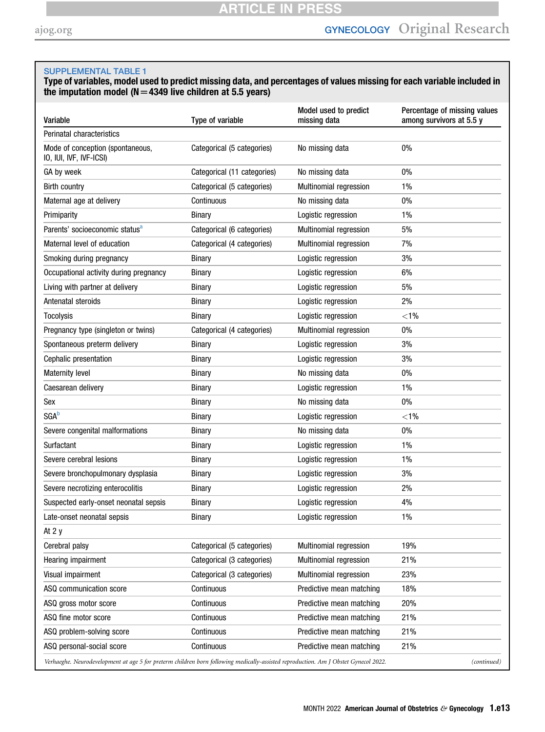<span id="page-12-0"></span>Type of variables, model used to predict missing data, and percentages of values missing for each variable included in the imputation model ( $N=4349$  live children at 5.5 years)

| Variable                                                                                                                            | Type of variable            | Model used to predict<br>missing data | Percentage of missing values<br>among survivors at 5.5 y |
|-------------------------------------------------------------------------------------------------------------------------------------|-----------------------------|---------------------------------------|----------------------------------------------------------|
| Perinatal characteristics                                                                                                           |                             |                                       |                                                          |
| Mode of conception (spontaneous,<br>IO, IUI, IVF, IVF-ICSI)                                                                         | Categorical (5 categories)  | No missing data                       | 0%                                                       |
| GA by week                                                                                                                          | Categorical (11 categories) | No missing data                       | 0%                                                       |
| <b>Birth country</b>                                                                                                                | Categorical (5 categories)  | Multinomial regression                | 1%                                                       |
| Maternal age at delivery                                                                                                            | Continuous                  | No missing data                       | 0%                                                       |
| Primiparity                                                                                                                         | <b>Binary</b>               | Logistic regression                   | $1\%$                                                    |
| Parents' socioeconomic status <sup>a</sup>                                                                                          | Categorical (6 categories)  | Multinomial regression                | 5%                                                       |
| Maternal level of education                                                                                                         | Categorical (4 categories)  | Multinomial regression                | 7%                                                       |
| Smoking during pregnancy                                                                                                            | Binary                      | Logistic regression                   | 3%                                                       |
| Occupational activity during pregnancy                                                                                              | Binary                      | Logistic regression                   | 6%                                                       |
| Living with partner at delivery                                                                                                     | Binary                      | Logistic regression                   | 5%                                                       |
| Antenatal steroids                                                                                                                  | Binary                      | Logistic regression                   | 2%                                                       |
| <b>Tocolysis</b>                                                                                                                    | Binary                      | Logistic regression                   | $< 1\%$                                                  |
| Pregnancy type (singleton or twins)                                                                                                 | Categorical (4 categories)  | Multinomial regression                | 0%                                                       |
| Spontaneous preterm delivery                                                                                                        | Binary                      | Logistic regression                   | 3%                                                       |
| Cephalic presentation                                                                                                               | Binary                      | Logistic regression                   | 3%                                                       |
| <b>Maternity level</b>                                                                                                              | <b>Binary</b>               | No missing data                       | 0%                                                       |
| Caesarean delivery                                                                                                                  | Binary                      | Logistic regression                   | 1%                                                       |
| Sex                                                                                                                                 | <b>Binary</b>               | No missing data                       | 0%                                                       |
| <b>SGA</b> b                                                                                                                        | Binary                      | Logistic regression                   | $< 1\%$                                                  |
| Severe congenital malformations                                                                                                     | Binary                      | No missing data                       | 0%                                                       |
| Surfactant                                                                                                                          | Binary                      | Logistic regression                   | $1\%$                                                    |
| Severe cerebral lesions                                                                                                             | Binary                      | Logistic regression                   | $1\%$                                                    |
| Severe bronchopulmonary dysplasia                                                                                                   | Binary                      | Logistic regression                   | 3%                                                       |
| Severe necrotizing enterocolitis                                                                                                    | <b>Binary</b>               | Logistic regression                   | 2%                                                       |
| Suspected early-onset neonatal sepsis                                                                                               | Binary                      | Logistic regression                   | 4%                                                       |
| Late-onset neonatal sepsis                                                                                                          | Binary                      | Logistic regression                   | 1%                                                       |
| At 2 y                                                                                                                              |                             |                                       |                                                          |
| Cerebral palsy                                                                                                                      | Categorical (5 categories)  | Multinomial regression                | 19%                                                      |
| Hearing impairment                                                                                                                  | Categorical (3 categories)  | Multinomial regression                | 21%                                                      |
| Visual impairment                                                                                                                   | Categorical (3 categories)  | Multinomial regression                | 23%                                                      |
| ASQ communication score                                                                                                             | Continuous                  | Predictive mean matching              | 18%                                                      |
| ASQ gross motor score                                                                                                               | Continuous                  | Predictive mean matching              | 20%                                                      |
| ASQ fine motor score                                                                                                                | Continuous                  | Predictive mean matching              | 21%                                                      |
| ASQ problem-solving score                                                                                                           | Continuous                  | Predictive mean matching              | 21%                                                      |
| ASQ personal-social score                                                                                                           | Continuous                  | Predictive mean matching              | 21%                                                      |
| Verhaeghe. Neurodevelopment at age 5 for preterm children born following medically-assisted reproduction. Am J Obstet Gynecol 2022. |                             |                                       | (continued)                                              |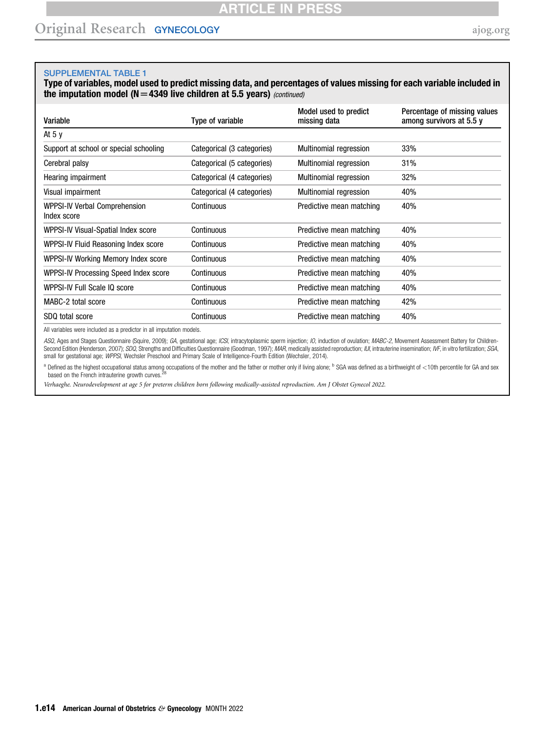Type of variables, model used to predict missing data, and percentages of values missing for each variable included in the imputation model ( $N=4349$  live children at 5.5 years) (continued)

| Variable                                     | Type of variable           | Model used to predict<br>missing data | Percentage of missing values<br>among survivors at 5.5 y |
|----------------------------------------------|----------------------------|---------------------------------------|----------------------------------------------------------|
| At 5 y                                       |                            |                                       |                                                          |
| Support at school or special schooling       | Categorical (3 categories) | <b>Multinomial regression</b>         | 33%                                                      |
| Cerebral palsy                               | Categorical (5 categories) | <b>Multinomial regression</b>         | 31%                                                      |
| Hearing impairment                           | Categorical (4 categories) | <b>Multinomial regression</b>         | 32%                                                      |
| Visual impairment                            | Categorical (4 categories) | <b>Multinomial regression</b>         | 40%                                                      |
| WPPSI-IV Verbal Comprehension<br>Index score | Continuous                 | Predictive mean matching              | 40%                                                      |
| WPPSI-IV Visual-Spatial Index score          | Continuous                 | Predictive mean matching              | 40%                                                      |
| WPPSI-IV Fluid Reasoning Index score         | Continuous                 | Predictive mean matching              | 40%                                                      |
| WPPSI-IV Working Memory Index score          | Continuous                 | Predictive mean matching              | 40%                                                      |
| WPPSI-IV Processing Speed Index score        | Continuous                 | Predictive mean matching              | 40%                                                      |
| WPPSI-IV Full Scale IQ score                 | Continuous                 | Predictive mean matching              | 40%                                                      |
| MABC-2 total score                           | Continuous                 | Predictive mean matching              | 42%                                                      |
| SDQ total score                              | Continuous                 | Predictive mean matching              | 40%                                                      |

All variables were included as a predictor in all imputation models.

ASQ, Ages and Stages Questionnaire (Squire, 2009); GA, gestational age; ICSI, intracytoplasmic sperm injection; IO, induction of ovulation; IMABC-2, Movement Assessment Battery for Children-Second Edition (Henderson, 2007); SDQ, Strengths and Difficulties Questionnaire (Goodman, 1997); MAR, medically assisted reproduction; IUI, intrauterine insemination; IVF, in vitro fertilization; SGA, small for gestational age; WPPSI, Wechsler Preschool and Primary Scale of Intelligence-Fourth Edition (Wechsler, 2014).

<span id="page-13-0"></span><sup>a</sup> Defined as the highest occupational status among occupations of the mother and the father or mother only if living alone; <sup>b</sup> SGA was defined as a birthweight of <10th percentile for GA and sex<br>based on the French intr

Verhaeghe. Neurodevelopment at age 5 for preterm children born following medically-assisted reproduction. Am J Obstet Gynecol 2022.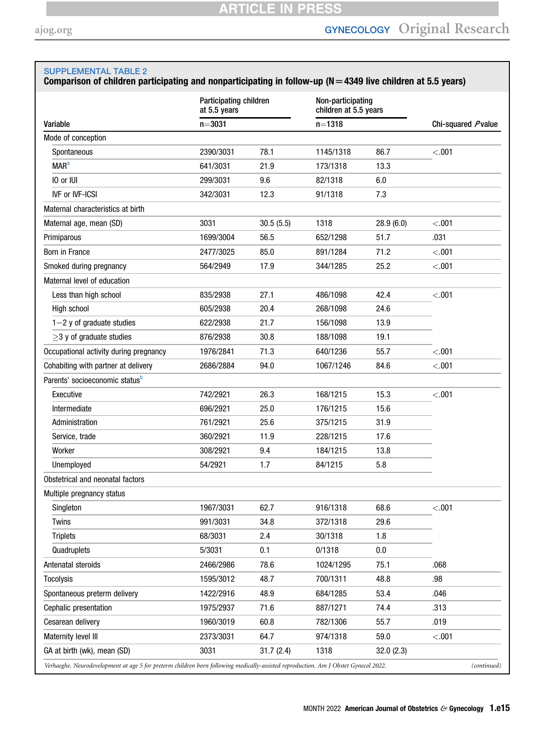# <span id="page-14-0"></span>Comparison of children participating and nonparticipating in follow-up ( $N = 4349$  live children at 5.5 years)

|                                                                                                                                     | at 5.5 years | Participating children |            | Non-participating<br>children at 5.5 years |         |                    |  |
|-------------------------------------------------------------------------------------------------------------------------------------|--------------|------------------------|------------|--------------------------------------------|---------|--------------------|--|
| Variable                                                                                                                            | $n = 3031$   |                        | $n = 1318$ |                                            |         | Chi-squared Pvalue |  |
| Mode of conception                                                                                                                  |              |                        |            |                                            |         |                    |  |
| Spontaneous                                                                                                                         | 2390/3031    | 78.1                   | 1145/1318  | 86.7                                       | < .001  |                    |  |
| <b>MAR<sup>a</sup></b>                                                                                                              | 641/3031     | 21.9                   | 173/1318   | 13.3                                       |         |                    |  |
| IO or IUI                                                                                                                           | 299/3031     | 9.6                    | 82/1318    | 6.0                                        |         |                    |  |
| <b>IVF or IVF-ICSI</b>                                                                                                              | 342/3031     | 12.3                   | 91/1318    | 7.3                                        |         |                    |  |
| Maternal characteristics at birth                                                                                                   |              |                        |            |                                            |         |                    |  |
| Maternal age, mean (SD)                                                                                                             | 3031         | 30.5(5.5)              | 1318       | 28.9(6.0)                                  | < .001  |                    |  |
| Primiparous                                                                                                                         | 1699/3004    | 56.5                   | 652/1298   | 51.7                                       | .031    |                    |  |
| Born in France                                                                                                                      | 2477/3025    | 85.0                   | 891/1284   | 71.2                                       | < .001  |                    |  |
| Smoked during pregnancy                                                                                                             | 564/2949     | 17.9                   | 344/1285   | 25.2                                       | < .001  |                    |  |
| Maternal level of education                                                                                                         |              |                        |            |                                            |         |                    |  |
| Less than high school                                                                                                               | 835/2938     | 27.1                   | 486/1098   | 42.4                                       | < .001  |                    |  |
| High school                                                                                                                         | 605/2938     | 20.4                   | 268/1098   | 24.6                                       |         |                    |  |
| $1-2$ y of graduate studies                                                                                                         | 622/2938     | 21.7                   | 156/1098   | 13.9                                       |         |                    |  |
| $>3$ y of graduate studies                                                                                                          | 876/2938     | 30.8                   | 188/1098   | 19.1                                       |         |                    |  |
| Occupational activity during pregnancy                                                                                              | 1976/2841    | 71.3                   | 640/1236   | 55.7                                       | < 0.001 |                    |  |
| Cohabiting with partner at delivery                                                                                                 | 2686/2884    | 94.0                   | 1067/1246  | 84.6                                       | < .001  |                    |  |
| Parents' socioeconomic status <sup>b</sup>                                                                                          |              |                        |            |                                            |         |                    |  |
| Executive                                                                                                                           | 742/2921     | 26.3                   | 168/1215   | 15.3                                       | < 0.001 |                    |  |
| Intermediate                                                                                                                        | 696/2921     | 25.0                   | 176/1215   | 15.6                                       |         |                    |  |
| Administration                                                                                                                      | 761/2921     | 25.6                   | 375/1215   | 31.9                                       |         |                    |  |
| Service, trade                                                                                                                      | 360/2921     | 11.9                   | 228/1215   | 17.6                                       |         |                    |  |
| Worker                                                                                                                              | 308/2921     | 9.4                    | 184/1215   | 13.8                                       |         |                    |  |
| Unemployed                                                                                                                          | 54/2921      | 1.7                    | 84/1215    | 5.8                                        |         |                    |  |
| Obstetrical and neonatal factors                                                                                                    |              |                        |            |                                            |         |                    |  |
| Multiple pregnancy status                                                                                                           |              |                        |            |                                            |         |                    |  |
| Singleton                                                                                                                           | 1967/3031    | 62.7                   | 916/1318   | 68.6                                       | < .001  |                    |  |
| <b>Twins</b>                                                                                                                        | 991/3031     | 34.8                   | 372/1318   | 29.6                                       |         |                    |  |
| <b>Triplets</b>                                                                                                                     | 68/3031      | 2.4                    | 30/1318    | 1.8                                        |         |                    |  |
| Quadruplets                                                                                                                         | 5/3031       | 0.1                    | 0/1318     | 0.0                                        |         |                    |  |
| Antenatal steroids                                                                                                                  | 2466/2986    | 78.6                   | 1024/1295  | 75.1                                       | .068    |                    |  |
| <b>Tocolysis</b>                                                                                                                    | 1595/3012    | 48.7                   | 700/1311   | 48.8                                       | .98     |                    |  |
| Spontaneous preterm delivery                                                                                                        | 1422/2916    | 48.9                   | 684/1285   | 53.4                                       | .046    |                    |  |
| Cephalic presentation                                                                                                               | 1975/2937    | 71.6                   | 887/1271   | 74.4                                       | .313    |                    |  |
| Cesarean delivery                                                                                                                   | 1960/3019    | 60.8                   | 782/1306   | 55.7                                       | .019    |                    |  |
| Maternity level III                                                                                                                 | 2373/3031    | 64.7                   | 974/1318   | 59.0                                       | < .001  |                    |  |
| GA at birth (wk), mean (SD)                                                                                                         | 3031         | 31.7(2.4)              | 1318       | 32.0(2.3)                                  |         |                    |  |
| Verhaeghe. Neurodevelopment at age 5 for preterm children born following medically-assisted reproduction. Am J Obstet Gynecol 2022. |              |                        |            |                                            |         | (continued)        |  |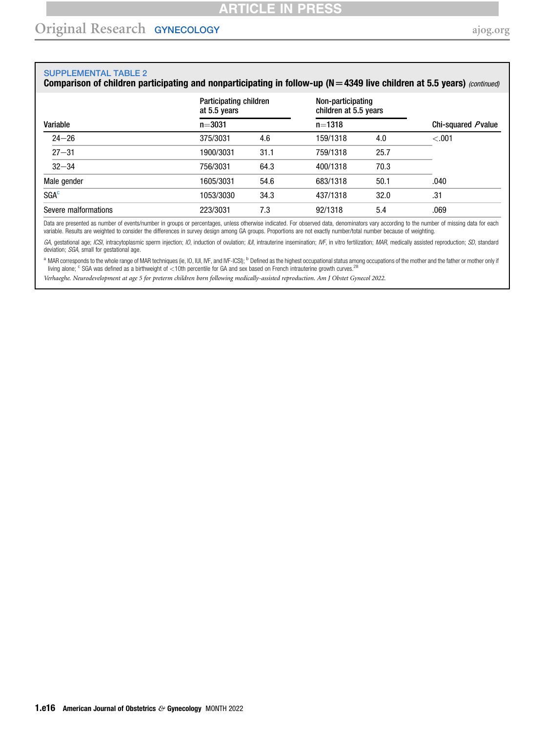# Comparison of children participating and nonparticipating in follow-up (N = 4349 live children at 5.5 years) (continued)

|                      | Participating children<br>at 5.5 years |      | Non-participating<br>children at 5.5 years |      |                    |  |  |
|----------------------|----------------------------------------|------|--------------------------------------------|------|--------------------|--|--|
| Variable             | $n = 3031$                             |      | $n = 1318$                                 |      | Chi-squared Pvalue |  |  |
| $24 - 26$            | 375/3031                               | 4.6  | 159/1318                                   | 4.0  | $-.001$            |  |  |
| $27 - 31$            | 1900/3031                              | 31.1 | 759/1318                                   | 25.7 |                    |  |  |
| $32 - 34$            | 756/3031                               | 64.3 | 400/1318                                   | 70.3 |                    |  |  |
| Male gender          | 1605/3031                              | 54.6 | 683/1318                                   | 50.1 | .040               |  |  |
| SGA <sup>c</sup>     | 1053/3030                              | 34.3 | 437/1318                                   | 32.0 | .31                |  |  |
| Severe malformations | 223/3031                               | 7.3  | 92/1318                                    | 5.4  | .069               |  |  |

Data are presented as number of events/number in groups or percentages, unless otherwise indicated. For observed data, denominators vary according to the number of missing data for each variable. Results are weighted to consider the differences in survey design among GA groups. Proportions are not exactly number/total number because of weighting.

GA, gestational age; ICSI, intracytoplasmic sperm injection; IO, induction of ovulation; IUI, intrauterine insemination; IVF, in vitro fertilization; MAR, medically assisted reproduction; SD, standard deviation; SGA, small for gestational age.

<span id="page-15-1"></span><span id="page-15-0"></span><sup>a</sup> MAR corresponds to the whole range of MAR techniques (ie, IO, IUI, IVF, and IVF-ICSI); <sup>b</sup> Defined as the highest occupational status among occupations of the mother and the father or mother only if living alone; c SGA was defined as a birthweight of <10th percentile for GA and sex based on French intrauterine growth curves.<sup>28</sup>

Verhaeghe. Neurodevelopment at age 5 for preterm children born following medically-assisted reproduction. Am J Obstet Gynecol 2022.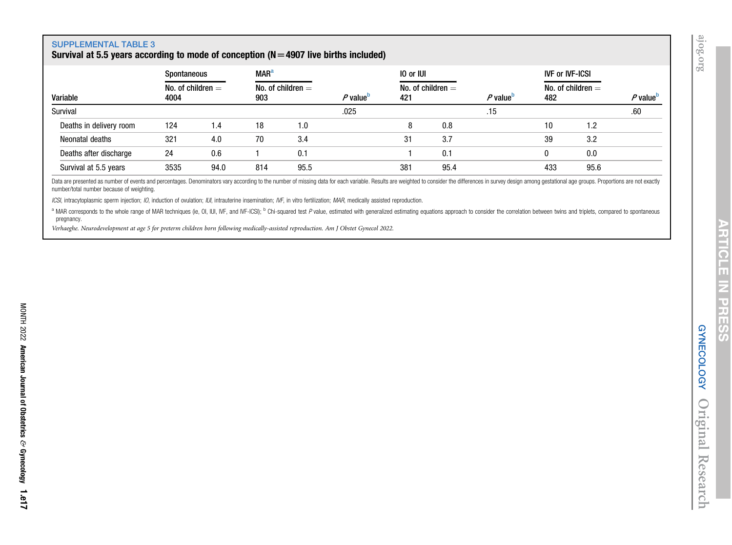# Survival at 5.5 years according to mode of conception ( $N=4907$  live births included)

<span id="page-16-0"></span>

|                         | Spontaneous                 |      | <b>MAR</b> <sup>a</sup> |                     |                             | 10 or IUI |                     |                      | <b>IVF or IVF-ICSI</b> |                     |                      |
|-------------------------|-----------------------------|------|-------------------------|---------------------|-----------------------------|-----------|---------------------|----------------------|------------------------|---------------------|----------------------|
| Variable                | No. of children $=$<br>4004 |      | 903                     | No. of children $=$ | <i>P</i> value <sup>b</sup> | 421       | No. of children $=$ | $P$ value $^{\rm b}$ | 482                    | No. of children $=$ | P value <sup>b</sup> |
| Survival                |                             |      |                         |                     | .025                        |           |                     | .15                  |                        |                     | .60                  |
| Deaths in delivery room | 124                         | 1.4  | 18                      | 0. ا                |                             | 8         | 0.8                 |                      | 10                     | 1.2                 |                      |
| Neonatal deaths         | 321                         | 4.0  | 70                      | 3.4                 |                             | 31        | 3.7                 |                      | 39                     | 3.2                 |                      |
| Deaths after discharge  | 24                          | 0.6  |                         | 0.1                 |                             |           | 0.1                 |                      |                        | 0.0                 |                      |
| Survival at 5.5 years   | 3535                        | 94.0 | 814                     | 95.5                |                             | 381       | 95.4                |                      | 433                    | 95.6                |                      |

Data are presented as number of events and percentages. Denominators vary according to the number of missing data for each variable. Results are weighted to consider the differences in survey design among gestational age g number/total number because of weighting.

ICSI, intracytoplasmic sperm injection; IO, induction of ovulation; IUI, intrauterine insemination; IVF, in vitro fertilization; MAR, medically assisted reproduction.

<sup>a</sup> MAR corresponds to the whole range of MAR techniques (ie, OI, IUI, IVF, and IVF-ICSI); <sup>b</sup> Chi-squared test P value, estimated with generalized estimating equations approach to consider the correlation between twins an pregnancy.

Verhaeghe. Neurodevelopment at age <sup>5</sup> for preterm children born following medically-assisted reproduction. Am J Obstet Gynecol 2022.

<span id="page-16-1"></span> $\overline{\phantom{a}}$ 

Research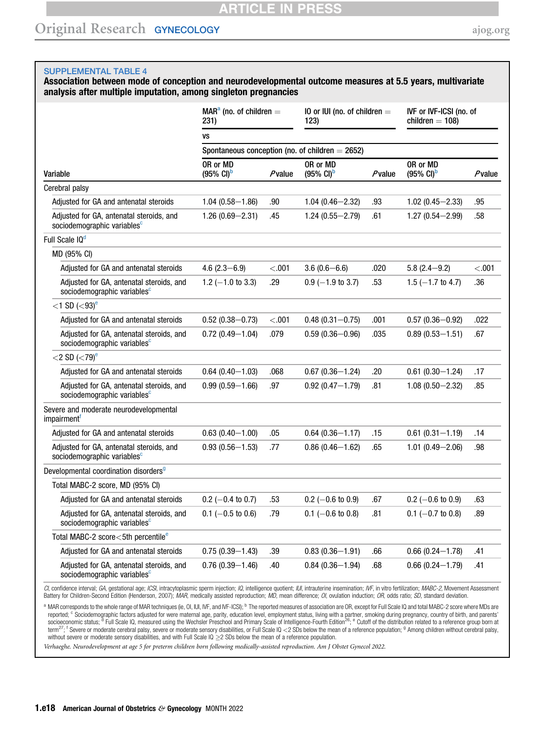# **ARTICLE IN PRESS**

# Original Research GYNECOLOGY [ajog.org](http://www.AJOG.org)

## <span id="page-17-0"></span>SUPPLEMENTAL TABLE 4

Association between mode of conception and neurodevelopmental outcome measures at 5.5 years, multivariate analysis after multiple imputation, among singleton pregnancies

|                                                                                     | $MARa$ (no. of children $=$<br>231)        |           | 10 or IUI (no. of children $=$<br>123)             |        | IVF or IVF-ICSI (no. of<br>children $=$ 108) |           |
|-------------------------------------------------------------------------------------|--------------------------------------------|-----------|----------------------------------------------------|--------|----------------------------------------------|-----------|
|                                                                                     | VS                                         |           |                                                    |        |                                              |           |
|                                                                                     |                                            |           | Spontaneous conception (no. of children $= 2652$ ) |        |                                              |           |
| Variable                                                                            | OR or MD<br>$(95\% \text{ Cl})^{\text{D}}$ | $P$ value | OR or MD<br>$(95\% \text{ Cl})^{\text{b}}$         | Pvalue | OR or MD<br>$(95\% \text{ Cl})^{\text{D}}$   | $P$ value |
| Cerebral palsy                                                                      |                                            |           |                                                    |        |                                              |           |
| Adjusted for GA and antenatal steroids                                              | $1.04(0.58 - 1.86)$                        | .90       | $1.04(0.46 - 2.32)$                                | .93    | $1.02(0.45 - 2.33)$                          | .95       |
| Adjusted for GA, antenatal steroids, and<br>sociodemographic variables <sup>c</sup> | $1.26(0.69 - 2.31)$                        | .45       | $1.24(0.55 - 2.79)$                                | .61    | $1.27(0.54 - 2.99)$                          | .58       |
| Full Scale IQ <sup>d</sup>                                                          |                                            |           |                                                    |        |                                              |           |
| MD (95% CI)                                                                         |                                            |           |                                                    |        |                                              |           |
| Adjusted for GA and antenatal steroids                                              | 4.6 $(2.3 - 6.9)$                          | < .001    | $3.6(0.6-6.6)$                                     | .020   | $5.8(2.4 - 9.2)$                             | < .001    |
| Adiusted for GA, antenatal steroids, and<br>sociodemographic variables <sup>c</sup> | $1.2$ (-1.0 to 3.3)                        | .29       | $0.9$ (-1.9 to 3.7)                                | .53    | $1.5$ (-1.7 to 4.7)                          | .36       |
| $<$ 1 SD ( $<$ 93) <sup>e</sup>                                                     |                                            |           |                                                    |        |                                              |           |
| Adjusted for GA and antenatal steroids                                              | $0.52(0.38 - 0.73)$                        | < .001    | $0.48(0.31 - 0.75)$                                | .001   | $0.57(0.36 - 0.92)$                          | .022      |
| Adjusted for GA, antenatal steroids, and<br>sociodemographic variables <sup>c</sup> | $0.72(0.49 - 1.04)$                        | .079      | $0.59(0.36 - 0.96)$                                | .035   | $0.89(0.53 - 1.51)$                          | .67       |
| $<$ 2 SD ( $<$ 79) <sup>e</sup>                                                     |                                            |           |                                                    |        |                                              |           |
| Adjusted for GA and antenatal steroids                                              | $0.64(0.40 - 1.03)$                        | .068      | $0.67(0.36 - 1.24)$                                | .20    | $0.61(0.30 - 1.24)$                          | .17       |
| Adjusted for GA, antenatal steroids, and<br>sociodemographic variables <sup>c</sup> | $0.99(0.59 - 1.66)$                        | .97       | $0.92(0.47 - 1.79)$                                | .81    | $1.08(0.50 - 2.32)$                          | .85       |
| Severe and moderate neurodevelopmental<br>impairment <sup>1</sup>                   |                                            |           |                                                    |        |                                              |           |
| Adjusted for GA and antenatal steroids                                              | $0.63(0.40 - 1.00)$                        | .05       | $0.64(0.36 - 1.17)$                                | .15    | $0.61(0.31 - 1.19)$                          | .14       |
| Adjusted for GA, antenatal steroids, and<br>sociodemographic variables <sup>c</sup> | $0.93(0.56 - 1.53)$                        | .77       | $0.86(0.46 - 1.62)$                                | .65    | $1.01(0.49 - 2.06)$                          | .98       |
| Developmental coordination disorders <sup>9</sup>                                   |                                            |           |                                                    |        |                                              |           |
| Total MABC-2 score, MD (95% CI)                                                     |                                            |           |                                                    |        |                                              |           |
| Adjusted for GA and antenatal steroids                                              | $0.2$ (-0.4 to 0.7)                        | .53       | $0.2$ (-0.6 to 0.9)                                | .67    | $0.2$ (-0.6 to 0.9)                          | .63       |
| Adjusted for GA, antenatal steroids, and<br>sociodemographic variables <sup>c</sup> | $0.1$ (-0.5 to 0.6)                        | .79       | $0.1$ (-0.6 to 0.8)                                | .81    | $0.1$ (-0.7 to 0.8)                          | .89       |
| Total MABC-2 score<5th percentile <sup>e</sup>                                      |                                            |           |                                                    |        |                                              |           |
| Adjusted for GA and antenatal steroids                                              | $0.75(0.39 - 1.43)$                        | .39       | $0.83(0.36 - 1.91)$                                | .66    | $0.66(0.24 - 1.78)$                          | .41       |
| Adjusted for GA, antenatal steroids, and<br>sociodemographic variables <sup>c</sup> | $0.76(0.39 - 1.46)$                        | .40       | $0.84(0.36 - 1.94)$                                | .68    | $0.66(0.24 - 1.79)$                          | .41       |

CI, confidence interval; GA, gestational age; ICSI, intracytoplasmic sperm injection; IQ, intelligence quotient; IUI, intrauterine insemination; IVF, in vitro fertilization; MABC-2, Movement Assessment Battery for Children-Second Edition (Henderson, 2007); MAR, medically assisted reproduction; MD, mean difference; OI, ovulation induction; OR, odds ratio; SD, standard deviation.

<span id="page-17-3"></span><span id="page-17-2"></span><span id="page-17-1"></span>a MAR corresponds to the whole range of MAR techniques (ie, OI, IUI, IVF, and IVF-ICSI); <sup>b</sup> The reported measures of association are OR, except for Full Scale IQ and total MABC-2 score where MDs are reported; <sup>c</sup> Sociodemographic factors adjusted for were maternal age, parity, education level, employment status, living with a partner, smoking during pregnancy, country of birth, and parents'<br>socioeconomic status; <sup>d</sup> F term $^{27}$ <sup>1</sup> Severe or moderate cerebral palsy, severe or moderate sensory disabilities, or Full Scale IQ <2 SDs below the mean of a reference population; <sup>9</sup> Among children without cerebral palsy, without severe or moderate sensory disabilities, and with Full Scale IQ  $\geq$ 2 SDs below the mean of a reference population.

<span id="page-17-4"></span>Verhaeghe. Neurodevelopment at age 5 for preterm children born following medically-assisted reproduction. Am J Obstet Gynecol 2022.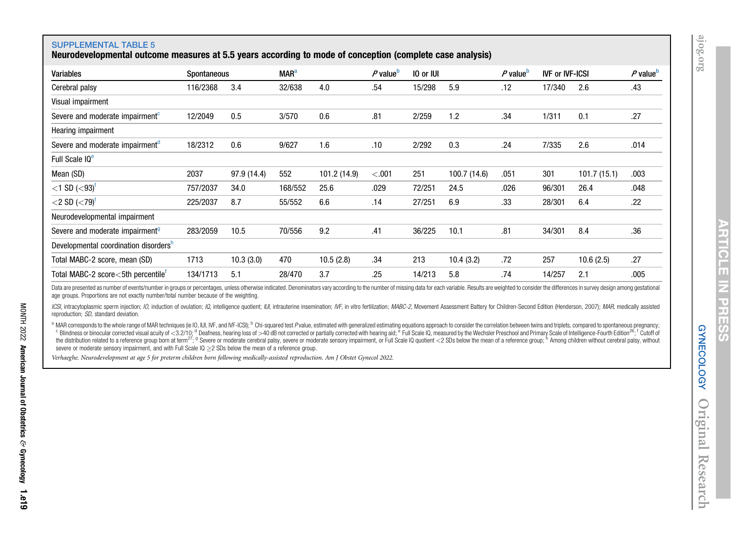GYNECOLOGY

Original

Research

<span id="page-18-3"></span><span id="page-18-2"></span><span id="page-18-1"></span>**GYNECOLOGY** 

 $\overline{\phantom{a}}$ 

## SUPPLEMENTAL TABLE 5

Neurodevelopmental outcome measures at 5.5 years according to mode of conception (complete case analysis)

<span id="page-18-0"></span>

| <b>Variables</b>                                  | Spontaneous |             | <b>MAR<sup>a</sup></b> |              | $P$ value <sup>b</sup> | 10 or IUI |              | P value <sup>b</sup> | <b>IVF or IVF-ICSI</b> |             | P value <sup><math>D</math></sup> |
|---------------------------------------------------|-------------|-------------|------------------------|--------------|------------------------|-----------|--------------|----------------------|------------------------|-------------|-----------------------------------|
| Cerebral palsy                                    | 116/2368    | 3.4         | 32/638                 | 4.0          | .54                    | 15/298    | 5.9          | .12                  | 17/340                 | 2.6         | .43                               |
| Visual impairment                                 |             |             |                        |              |                        |           |              |                      |                        |             |                                   |
| Severe and moderate impairment <sup>c</sup>       | 12/2049     | 0.5         | 3/570                  | 0.6          | .81                    | 2/259     | 1.2          | .34                  | 1/311                  | 0.1         | .27                               |
| Hearing impairment                                |             |             |                        |              |                        |           |              |                      |                        |             |                                   |
| Severe and moderate impairment <sup>d</sup>       | 18/2312     | 0.6         | 9/627                  | 1.6          | .10                    | 2/292     | 0.3          | .24                  | 7/335                  | 2.6         | .014                              |
| Full Scale IQ <sup>e</sup>                        |             |             |                        |              |                        |           |              |                      |                        |             |                                   |
| Mean (SD)                                         | 2037        | 97.9 (14.4) | 552                    | 101.2 (14.9) | < 0.001                | 251       | 100.7 (14.6) | .051                 | 301                    | 101.7(15.1) | .003                              |
| $<$ 1 SD ( $<$ 93) <sup>†</sup>                   | 757/2037    | 34.0        | 168/552                | 25.6         | .029                   | 72/251    | 24.5         | .026                 | 96/301                 | 26.4        | .048                              |
| $<$ 2 SD ( $<$ 79) <sup>f</sup>                   | 225/2037    | 8.7         | 55/552                 | 6.6          | .14                    | 27/251    | 6.9          | .33                  | 28/301                 | 6.4         | .22                               |
| Neurodevelopmental impairment                     |             |             |                        |              |                        |           |              |                      |                        |             |                                   |
| Severe and moderate impairment <sup>g</sup>       | 283/2059    | 10.5        | 70/556                 | 9.2          | .41                    | 36/225    | 10.1         | .81                  | 34/301                 | 8.4         | .36                               |
| Developmental coordination disorders <sup>n</sup> |             |             |                        |              |                        |           |              |                      |                        |             |                                   |
| Total MABC-2 score, mean (SD)                     | 1713        | 10.3(3.0)   | 470                    | 10.5(2.8)    | .34                    | 213       | 10.4(3.2)    | .72                  | 257                    | 10.6(2.5)   | .27                               |
| Total MABC-2 score<5th percentile <sup>t</sup>    | 134/1713    | 5.1         | 28/470                 | 3.7          | .25                    | 14/213    | 5.8          | .74                  | 14/257                 | 2.1         | .005                              |

Data are presented as number of events/number in groups or percentages, unless otherwise indicated. Denominators vary according to the number of missing data for each variable. Results are weighted to consider the differen age groups. Proportions are not exactly number/total number because of the weighting.

ICSI, intracytoplasmic sperm injection; IO, induction of ovulation; IO, intelligence quotient; IUI, intrauterine insemination; IVF, in vitro fertilization; IMBC-2, Movement Assessment Battery for Children-Second Edition (H reproduction; SD, standard deviation.

a MAR corresponds to the whole range of MAR techniques (ie IO, IUI, IVF, and IVF-ICSI); <sup>b</sup> Chi-squared test P value, estimated with generalized estimating equations approach to consider the correlation between twins and t C Blindness or binocular corrected visual acuity of <3.2/10; <sup>d</sup> Deafness, hearing loss of >40 dB not corrected or partially corrected with hearing aid; <sup>e</sup> Full Scale IQ, measured by the Wechsler Preschool and Primary Sca the distribution related to a reference group born at term<sup>27, g</sup> Severe or moderate cerebral palsy, severe or moderate sensory impairment, or Full Scale IQ quotient <2 SDs below the mean of a reference group.<br>severe or m

Verhaeghe. Neurodevelopment at age <sup>5</sup> for preterm children born following medically-assisted reproduction. Am J Obstet Gynecol 2022.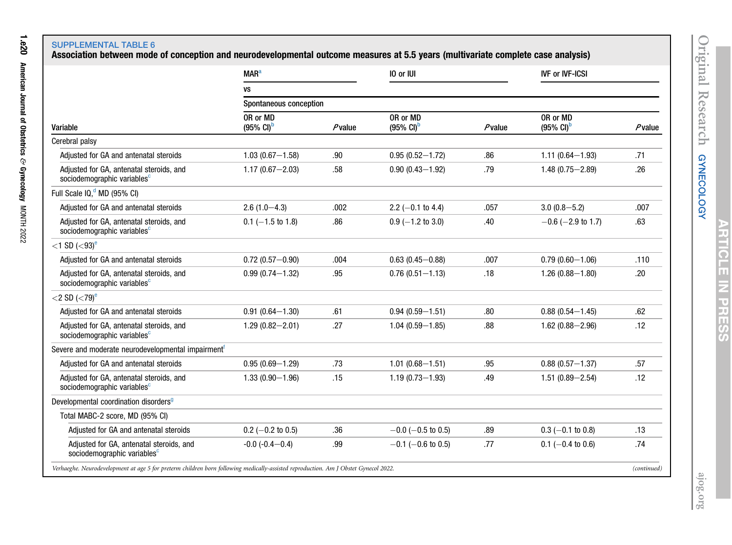1.e20

American Journal of Obstetrics

&

Gynecology

MONTH 2022

# SUPPLEMENTAL TABLE 6<br>Association between mode of conception and neurodevelopmental outcome measures at 5.5 years (multivariate complete case analysis)

<span id="page-19-0"></span>

|                                                                                                                                     | <b>MAR<sup>a</sup></b>                     |           | 10 or IUI                                  |           | <b>IVF or IVF-ICSI</b>                     |             |
|-------------------------------------------------------------------------------------------------------------------------------------|--------------------------------------------|-----------|--------------------------------------------|-----------|--------------------------------------------|-------------|
|                                                                                                                                     | VS                                         |           |                                            |           |                                            |             |
|                                                                                                                                     | Spontaneous conception                     |           |                                            |           |                                            |             |
| Variable                                                                                                                            | OR or MD<br>$(95\% \text{ Cl})^{\text{b}}$ | $P$ value | OR or MD<br>$(95\% \text{ Cl})^{\text{b}}$ | $P$ value | OR or MD<br>$(95\% \text{ Cl})^{\text{b}}$ | $P$ value   |
| Cerebral palsy                                                                                                                      |                                            |           |                                            |           |                                            |             |
| Adjusted for GA and antenatal steroids                                                                                              | $1.03(0.67 - 1.58)$                        | .90       | $0.95(0.52 - 1.72)$                        | .86       | $1.11(0.64 - 1.93)$                        | .71         |
| Adjusted for GA, antenatal steroids, and<br>sociodemographic variables <sup>c</sup>                                                 | $1.17(0.67 - 2.03)$                        | .58       | $0.90(0.43 - 1.92)$                        | .79       | $1.48(0.75 - 2.89)$                        | .26         |
| Full Scale IQ, <sup>d</sup> MD (95% CI)                                                                                             |                                            |           |                                            |           |                                            |             |
| Adjusted for GA and antenatal steroids                                                                                              | $2.6(1.0-4.3)$                             | .002      | 2.2 $(-0.1$ to 4.4)                        | .057      | $3.0(0.8 - 5.2)$                           | .007        |
| Adjusted for GA, antenatal steroids, and<br>sociodemographic variables <sup>c</sup>                                                 | $0.1$ (-1.5 to 1.8)                        | .86       | $0.9$ (-1.2 to 3.0)                        | .40       | $-0.6$ ( $-2.9$ to 1.7)                    | .63         |
| $<$ 1 SD ( $<$ 93) <sup>e</sup>                                                                                                     |                                            |           |                                            |           |                                            |             |
| Adjusted for GA and antenatal steroids                                                                                              | $0.72(0.57 - 0.90)$                        | .004      | $0.63(0.45 - 0.88)$                        | .007      | $0.79(0.60 - 1.06)$                        | .110        |
| Adjusted for GA, antenatal steroids, and<br>sociodemographic variables <sup>c</sup>                                                 | $0.99(0.74 - 1.32)$                        | .95       | $0.76(0.51 - 1.13)$                        | .18       | $1.26(0.88 - 1.80)$                        | .20         |
| $<$ 2 SD ( $<$ 79) <sup>e</sup>                                                                                                     |                                            |           |                                            |           |                                            |             |
| Adjusted for GA and antenatal steroids                                                                                              | $0.91(0.64 - 1.30)$                        | .61       | $0.94(0.59 - 1.51)$                        | .80       | $0.88(0.54 - 1.45)$                        | .62         |
| Adjusted for GA, antenatal steroids, and<br>sociodemographic variables <sup>c</sup>                                                 | $1.29(0.82 - 2.01)$                        | .27       | $1.04(0.59 - 1.85)$                        | .88       | $1.62(0.88 - 2.96)$                        | .12         |
| Severe and moderate neurodevelopmental impairment <sup>T</sup>                                                                      |                                            |           |                                            |           |                                            |             |
| Adjusted for GA and antenatal steroids                                                                                              | $0.95(0.69 - 1.29)$                        | .73       | $1.01(0.68 - 1.51)$                        | .95       | $0.88(0.57 - 1.37)$                        | .57         |
| Adjusted for GA, antenatal steroids, and<br>sociodemographic variables <sup>c</sup>                                                 | $1.33(0.90 - 1.96)$                        | .15       | $1.19(0.73 - 1.93)$                        | .49       | $1.51(0.89 - 2.54)$                        | .12         |
| Developmental coordination disorders <sup>9</sup>                                                                                   |                                            |           |                                            |           |                                            |             |
| Total MABC-2 score, MD (95% CI)                                                                                                     |                                            |           |                                            |           |                                            |             |
| Adjusted for GA and antenatal steroids                                                                                              | $0.2$ (-0.2 to 0.5)                        | .36       | $-0.0$ (-0.5 to 0.5)                       | .89       | $0.3$ (-0.1 to 0.8)                        | .13         |
| Adjusted for GA, antenatal steroids, and<br>sociodemographic variables <sup>c</sup>                                                 | $-0.0$ $(-0.4 - 0.4)$                      | .99       | $-0.1$ (-0.6 to 0.5)                       | .77       | $0.1$ (-0.4 to 0.6)                        | .74         |
| Verhaeghe. Neurodevelopment at age 5 for preterm children born following medically-assisted reproduction. Am J Obstet Gynecol 2022. |                                            |           |                                            |           |                                            | (continued) |